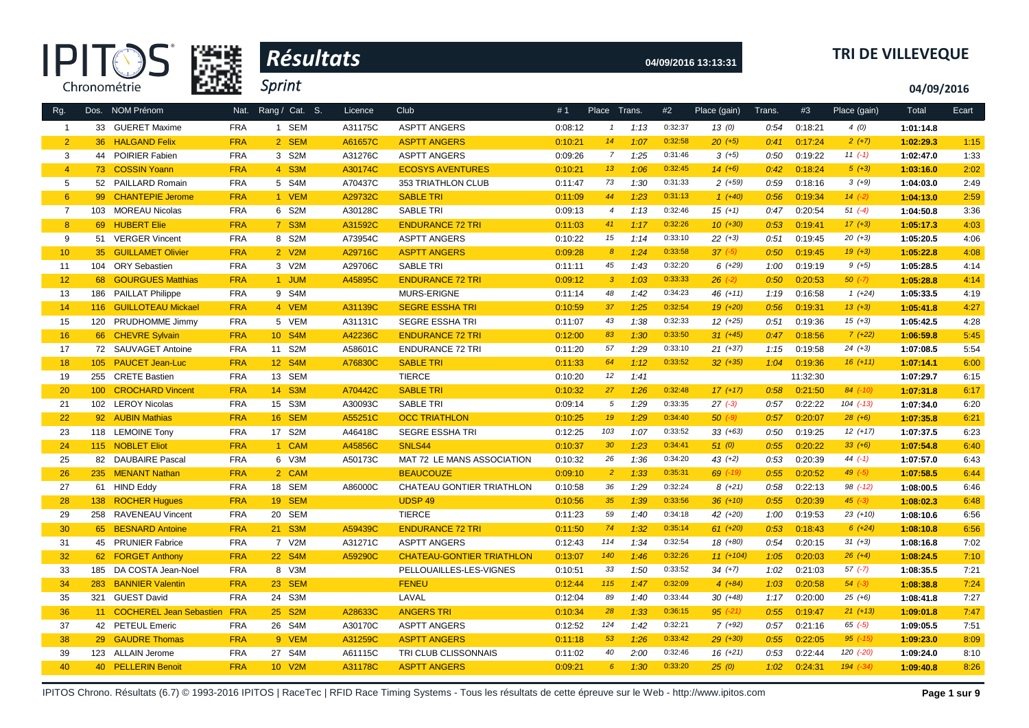



# **04/09/2016 13:13:31 TRI DE VILLEVEQUE**

**04/09/2016**

| Rg.             |         | Dos. NOM Prénom                | Nat.       | Rang / Cat. S. | Licence | Club                             | #1      | Place Trans.     |      | #2      | Place (gain) | Trans. | #3       | Place (gain)  | Total     | Ecart |
|-----------------|---------|--------------------------------|------------|----------------|---------|----------------------------------|---------|------------------|------|---------|--------------|--------|----------|---------------|-----------|-------|
| $\overline{1}$  |         | 33 GUERET Maxime               | <b>FRA</b> | 1 SEM          | A31175C | <b>ASPTT ANGERS</b>              | 0:08:12 | $\mathbf{1}$     | 1:13 | 0:32:37 | 13(0)        | 0:54   | 0:18:21  | 4(0)          | 1:01:14.8 |       |
| $\overline{2}$  |         | 36 HALGAND Felix               | <b>FRA</b> | 2 SEM          | A61657C | <b>ASPTT ANGERS</b>              | 0:10:21 | 14               | 1:07 | 0:32:58 | $20 (+5)$    | 0:41   | 0:17:24  | $2(+7)$       | 1:02:29.3 | 1:15  |
| 3               | 44      | POIRIER Fabien                 | <b>FRA</b> | 3 S2M          | A31276C | <b>ASPTT ANGERS</b>              | 0:09:26 | $\overline{7}$   | 1:25 | 0:31:46 | $3(+5)$      | 0:50   | 0:19:22  | $11 (-1)$     | 1:02:47.0 | 1:33  |
| $\overline{4}$  |         | 73 COSSIN Yoann                | <b>FRA</b> | 4 S3M          | A30174C | <b>ECOSYS AVENTURES</b>          | 0:10:21 | 13               | 1:06 | 0:32:45 | $14(+6)$     | 0:42   | 0:18:24  | $5(+3)$       | 1:03:16.0 | 2:02  |
| 5               |         | 52 PAILLARD Romain             | <b>FRA</b> | 5 S4M          | A70437C | 353 TRIATHLON CLUB               | 0:11:47 | 73               | 1:30 | 0:31:33 | $2(+59)$     | 0:59   | 0:18:16  | $3(+9)$       | 1:04:03.0 | 2:49  |
| $6^{\circ}$     |         | 99 CHANTEPIE Jerome            | <b>FRA</b> | 1 VEM          | A29732C | <b>SABLE TRI</b>                 | 0:11:09 | 44               | 1:23 | 0:31:13 | $1(+40)$     | 0:56   | 0:19:34  | $14(-2)$      | 1:04:13.0 | 2:59  |
| $\overline{7}$  |         | 103 MOREAU Nicolas             | <b>FRA</b> | 6 S2M          | A30128C | <b>SABLE TRI</b>                 | 0:09:13 | $\overline{4}$   | 1:13 | 0:32:46 | $15 (+1)$    | 0:47   | 0:20:54  | $51 (-4)$     | 1:04:50.8 | 3:36  |
| 8               |         | 69 HUBERT Elie                 | <b>FRA</b> | 7 S3M          | A31592C | <b>ENDURANCE 72 TRI</b>          | 0:11:03 | 41               | 1:17 | 0:32:26 | $10(+30)$    | 0:53   | 0:19:41  | $17 (+3)$     | 1:05:17.3 | 4:03  |
| 9               |         | 51 VERGER Vincent              | <b>FRA</b> | 8 S2M          | A73954C | <b>ASPTT ANGERS</b>              | 0:10:22 | 15               | 1:14 | 0:33:10 | $22(+3)$     | 0:51   | 0:19:45  | $20 (+3)$     | 1:05:20.5 | 4:06  |
| 10 <sup>°</sup> |         | 35 GUILLAMET Olivier           | <b>FRA</b> | 2 V2M          | A29716C | <b>ASPTT ANGERS</b>              | 0:09:28 | $\boldsymbol{8}$ | 1:24 | 0:33:58 | $37 (-5)$    | 0:50   | 0:19:45  | $19(+3)$      | 1:05:22.8 | 4:08  |
| 11              |         | 104 ORY Sebastien              | <b>FRA</b> | 3 V2M          | A29706C | <b>SABLE TRI</b>                 | 0:11:11 | 45               | 1:43 | 0:32:20 | $6(+29)$     | 1:00   | 0:19:19  | $9 (+5)$      | 1:05:28.5 | 4:14  |
| 12              |         | 68 GOURGUES Matthias           | <b>FRA</b> | 1 JUM          | A45895C | <b>ENDURANCE 72 TRI</b>          | 0:09:12 | $\mathbf{3}$     | 1:03 | 0:33:33 | $26$ $(-2)$  | 0:50   | 0:20:53  | $50 (-7)$     | 1:05:28.8 | 4:14  |
| 13              | 186     | <b>PAILLAT Philippe</b>        | <b>FRA</b> | 9 S4M          |         | MURS-ERIGNE                      | 0:11:14 | 48               | 1:42 | 0:34:23 | $46 (+11)$   | 1:19   | 0:16:58  | $1(+24)$      | 1:05:33.5 | 4:19  |
| 14              | 116     | <b>GUILLOTEAU Mickael</b>      | <b>FRA</b> | 4 VEM          | A31139C | <b>SEGRE ESSHA TRI</b>           | 0:10:59 | 37               | 1:25 | 0:32:54 | $19(+20)$    | 0:56   | 0:19:31  | $13(+3)$      | 1:05:41.8 | 4:27  |
| 15              |         | 120 PRUDHOMME Jimmy            | <b>FRA</b> | 5 VEM          | A31131C | <b>SEGRE ESSHATRI</b>            | 0:11:07 | 43               | 1:38 | 0:32:33 | $12 (+25)$   | 0:51   | 0:19:36  | $15(+3)$      | 1:05:42.5 | 4:28  |
| 16              |         | 66 CHEVRE Sylvain              | <b>FRA</b> | 10 S4M         | A42236C | <b>ENDURANCE 72 TRI</b>          | 0:12:00 | 83               | 1:30 | 0:33:50 | $31 (+45)$   | 0:47   | 0:18:56  | $7(+22)$      | 1:06:59.8 | 5:45  |
| 17              |         | 72 SAUVAGET Antoine            | <b>FRA</b> | 11 S2M         | A58601C | <b>ENDURANCE 72 TRI</b>          | 0:11:20 | 57               | 1:29 | 0:33:10 | $21 (+37)$   | 1:15   | 0:19:58  | $24 (+3)$     | 1:07:08.5 | 5:54  |
| 18              | 105     | <b>PAUCET Jean-Luc</b>         | <b>FRA</b> | 12 S4M         | A76830C | <b>SABLE TRI</b>                 | 0:11:33 | 64               | 1:12 | 0:33:52 | $32 (+35)$   | 1:04   | 0:19:36  | $16 (+11)$    | 1:07:14.1 | 6:00  |
| 19              | 255     | <b>CRETE Bastien</b>           | <b>FRA</b> | 13 SEM         |         | <b>TIERCE</b>                    | 0:10:20 | 12               | 1:41 |         |              |        | 11:32:30 |               | 1:07:29.7 | 6:15  |
| 20              | $100 -$ | <b>CROCHARD Vincent</b>        | <b>FRA</b> | 14 S3M         | A70442C | <b>SABLE TRI</b>                 | 0:10:32 | 27               | 1:26 | 0:32:48 | $17(+17)$    | 0:58   | 0:21:50  | $84$ (-10)    | 1:07:31.8 | 6:17  |
| 21              |         | 102 LEROY Nicolas              | <b>FRA</b> | 15 S3M         | A30093C | <b>SABLE TRI</b>                 | 0:09:14 | $5\overline{)}$  | 1:29 | 0:33:35 | $27(-3)$     | 0:57   | 0:22:22  | $104$ $(-13)$ | 1:07:34.0 | 6:20  |
| 22              |         | 92 AUBIN Mathias               | <b>FRA</b> | 16 SEM         | A55251C | <b>OCC TRIATHLON</b>             | 0:10:25 | 19               | 1:29 | 0:34:40 | $50 (-9)$    | 0:57   | 0:20:07  | $28 (+6)$     | 1:07:35.8 | 6:21  |
| 23              |         | 118 LEMOINE Tony               | <b>FRA</b> | 17 S2M         | A46418C | <b>SEGRE ESSHA TRI</b>           | 0:12:25 | 103              | 1:07 | 0:33:52 | $33(+63)$    | 0:50   | 0:19:25  | $12(+17)$     | 1:07:37.5 | 6:23  |
| 24              |         | 115 NOBLET Eliot               | <b>FRA</b> | 1 CAM          | A45856C | SNLS44                           | 0:10:37 | 30 <sub>o</sub>  | 1:23 | 0:34:41 | 51(0)        | 0:55   | 0:20:22  | $33 (+6)$     | 1:07:54.8 | 6:40  |
| 25              |         | 82 DAUBAIRE Pascal             | <b>FRA</b> | 6 V3M          | A50173C | MAT 72 LE MANS ASSOCIATION       | 0:10:32 | 26               | 1:36 | 0:34:20 | $43 (+2)$    | 0:53   | 0:20:39  | 44 $(-1)$     | 1:07:57.0 | 6:43  |
| 26              |         | 235 MENANT Nathan              | <b>FRA</b> | 2 CAM          |         | <b>BEAUCOUZE</b>                 | 0:09:10 | $\overline{2}$   | 1:33 | 0:35:31 | $69$ $(-19)$ | 0:55   | 0:20:52  | $49(-5)$      | 1:07:58.5 | 6:44  |
| 27              |         | 61 HIND Eddy                   | <b>FRA</b> | 18 SEM         | A86000C | CHATEAU GONTIER TRIATHLON        | 0:10:58 | 36               | 1:29 | 0:32:24 | $8(+21)$     | 0:58   | 0:22:13  | $98$ $(-12)$  | 1:08:00.5 | 6:46  |
| 28              | 138     | <b>ROCHER Hugues</b>           | <b>FRA</b> | <b>19 SEM</b>  |         | <b>UDSP49</b>                    | 0:10:56 | 35               | 1:39 | 0:33:56 | $36 (+10)$   | 0:55   | 0:20:39  | $45(-3)$      | 1:08:02.3 | 6:48  |
| 29              |         | 258 RAVENEAU Vincent           | <b>FRA</b> | 20 SEM         |         | <b>TIERCE</b>                    | 0:11:23 | 59               | 1:40 | 0:34:18 | 42 (+20)     | 1:00   | 0:19:53  | $23 (+10)$    | 1:08:10.6 | 6:56  |
| 30              |         | 65 BESNARD Antoine             | <b>FRA</b> | 21 S3M         | A59439C | <b>ENDURANCE 72 TRI</b>          | 0:11:50 | 74               | 1:32 | 0:35:14 | $61 (+20)$   | 0:53   | 0:18:43  | $6(+24)$      | 1:08:10.8 | 6:56  |
| 31              |         | 45 PRUNIER Fabrice             | <b>FRA</b> | 7 V2M          | A31271C | <b>ASPTT ANGERS</b>              | 0:12:43 | 114              | 1:34 | 0:32:54 | 18 (+80)     | 0:54   | 0:20:15  | $31 (+3)$     | 1:08:16.8 | 7:02  |
| 32              |         | 62 FORGET Anthony              | <b>FRA</b> | 22 S4M         | A59290C | <b>CHATEAU-GONTIER TRIATHLON</b> | 0:13:07 | 140              | 1:46 | 0:32:26 | $11 (+104)$  | 1:05   | 0:20:03  | $26 (+4)$     | 1:08:24.5 | 7:10  |
| 33              |         | 185 DA COSTA Jean-Noel         | <b>FRA</b> | 8 V3M          |         | PELLOUAILLES-LES-VIGNES          | 0:10:51 | 33               | 1:50 | 0:33:52 | $34 (+7)$    | 1:02   | 0:21:03  | $57 (-7)$     | 1:08:35.5 | 7:21  |
| 34              | 283     | <b>BANNIER Valentin</b>        | <b>FRA</b> | 23 SEM         |         | <b>FENEU</b>                     | 0:12:44 | 115              | 1:47 | 0:32:09 | $4(+84)$     | 1:03   | 0:20:58  | $54 (-3)$     | 1:08:38.8 | 7:24  |
| 35              |         | 321 GUEST David                | <b>FRA</b> | 24 S3M         |         | LAVAL                            | 0:12:04 | 89               | 1:40 | 0:33:44 | $30 (+48)$   | 1:17   | 0:20:00  | $25(+6)$      | 1:08:41.8 | 7:27  |
| 36              |         | 11 COCHEREL Jean Sebastien FRA |            | 25 S2M         | A28633C | <b>ANGERS TRI</b>                | 0:10:34 | 28               | 1:33 | 0:36:15 | $95 (-21)$   | 0:55   | 0:19:47  | $21 (+13)$    | 1:09:01.8 | 7:47  |
| 37              |         | 42 PETEUL Emeric               | <b>FRA</b> | 26 S4M         | A30170C | <b>ASPTT ANGERS</b>              | 0:12:52 | 124              | 1:42 | 0:32:21 | $7(+92)$     | 0:57   | 0:21:16  | $65$ $(-5)$   | 1:09:05.5 | 7:51  |
| 38              |         | 29 GAUDRE Thomas               | <b>FRA</b> | 9 VEM          | A31259C | <b>ASPTT ANGERS</b>              | 0:11:18 | 53               | 1:26 | 0:33:42 | $29(+30)$    | 0:55   | 0:22:05  | $95$ $(-15)$  | 1:09:23.0 | 8:09  |
| 39              |         | 123 ALLAIN Jerome              | <b>FRA</b> | 27 S4M         | A61115C | TRI CLUB CLISSONNAIS             | 0:11:02 | 40               | 2:00 | 0:32:46 | $16 (+21)$   | 0:53   | 0:22:44  | 120 (-20)     | 1:09:24.0 | 8:10  |
| 40              |         | 40 PELLERIN Benoit             | <b>FRA</b> | 10 V2M         | A31178C | <b>ASPTT ANGERS</b>              | 0:09:21 | $6^{\circ}$      | 1:30 | 0:33:20 | 25(0)        | 1:02   | 0:24:31  | $194 (-34)$   | 1:09:40.8 | 8:26  |
|                 |         |                                |            |                |         |                                  |         |                  |      |         |              |        |          |               |           |       |

IPITOS Chrono. Résultats (6.7) © 1993-2016 IPITOS | RaceTec | RFID Race Timing Systems - Tous les résultats de cette épreuve sur le Web - http://www.ipitos.com **Page 1 sur 9**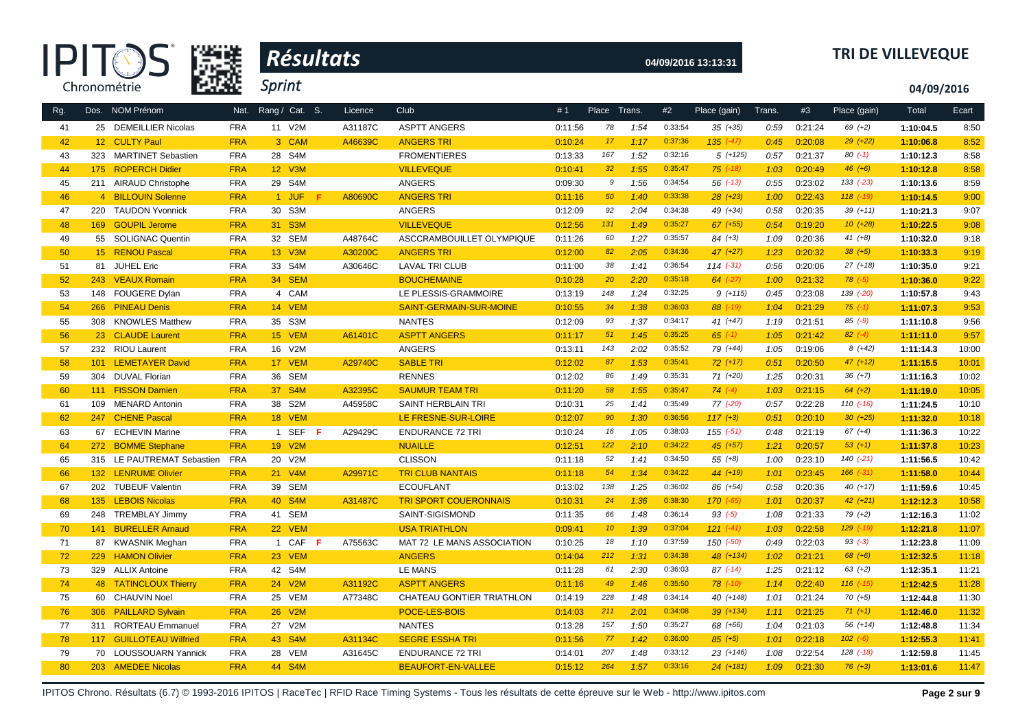| œ            |
|--------------|
| Chronométrie |



# **04/09/2016 13:13:31 TRI DE VILLEVEQUE**

**04/09/2016**

| Rg.      |     | Dos. NOM Prénom            | Nat.       | Rang / Cat. S. | Licence | Club                         | #1      | Place Trans.    |      | #2      | Place (gain)  | Trans. | #3      | Place (gain)  | Total     | Ecart |
|----------|-----|----------------------------|------------|----------------|---------|------------------------------|---------|-----------------|------|---------|---------------|--------|---------|---------------|-----------|-------|
| 41       |     | 25 DEMEILLIER Nicolas      | <b>FRA</b> | 11 V2M         | A31187C | <b>ASPTT ANGERS</b>          | 0:11:56 | 78              | 1:54 | 0:33:54 | $35 (+35)$    | 0:59   | 0:21:24 | $69 (+2)$     | 1:10:04.5 | 8:50  |
| 42       |     | 12 CULTY Paul              | <b>FRA</b> | 3 CAM          | A46639C | <b>ANGERS TRI</b>            | 0:10:24 | 17              | 1:17 | 0:37:36 | $135 (+47)$   | 0:45   | 0:20:08 | $29 (+22)$    | 1:10:06.8 | 8:52  |
| 43       | 323 | <b>MARTINET Sebastien</b>  | <b>FRA</b> | 28 S4M         |         | <b>FROMENTIERES</b>          | 0:13:33 | 167             | 1:52 | 0:32:16 | $5(+125)$     | 0:57   | 0:21:37 | $80(-1)$      | 1:10:12.3 | 8:58  |
| 44       | 175 | <b>ROPERCH Didier</b>      | <b>FRA</b> | 12 V3M         |         | <b>VILLEVEQUE</b>            | 0:10:41 | 32              | 1:55 | 0:35:47 | $75$ $(-18)$  | 1:03   | 0:20:49 | $46 (+6)$     | 1:10:12.8 | 8:58  |
| 45       |     | 211 AIRAUD Christophe      | <b>FRA</b> | 29 S4M         |         | <b>ANGERS</b>                | 0:09:30 | 9               | 1:56 | 0:34:54 | $56$ $(-13)$  | 0:55   | 0:23:02 | $133( -23)$   | 1:10:13.6 | 8:59  |
| 46       |     | 4 BILLOUIN Solenne         | <b>FRA</b> | 1 JUF          | A80690C | <b>ANGERS TRI</b>            | 0:11:16 | 50              | 1:40 | 0:33:38 | $28(+23)$     | 1:00   | 0:22:43 | $118$ $(-19)$ | 1:10:14.5 | 9:00  |
| 47       | 220 | <b>TAUDON Yvonnick</b>     | <b>FRA</b> | 30 S3M         |         | <b>ANGERS</b>                | 0:12:09 | 92              | 2:04 | 0:34:38 | 49 (+34)      | 0:58   | 0:20:35 | $39 (+11)$    | 1:10:21.3 | 9:07  |
| 48       | 169 | <b>GOUPIL Jerome</b>       | <b>FRA</b> | 31 S3M         |         | <b>VILLEVEQUE</b>            | 0:12:56 | 131             | 1:49 | 0:35:27 | $67$ $(+55)$  | 0:54   | 0:19:20 | $10(+28)$     | 1:10:22.5 | 9:08  |
| 49       |     | 55 SOLIGNAC Quentin        | <b>FRA</b> | 32 SEM         | A48764C | ASCCRAMBOUILLET OLYMPIQUE    | 0:11:26 | 60              | 1:27 | 0:35:57 | $84 (+3)$     | 1:09   | 0:20:36 | $41 (+8)$     | 1:10:32.0 | 9:18  |
| 50       |     | 15 RENOU Pascal            | <b>FRA</b> | 13 V3M         | A30200C | <b>ANGERS TRI</b>            | 0:12:00 | 82              | 2:05 | 0:34:36 | $47 (+27)$    | 1:23   | 0:20:32 | $38 (+5)$     | 1:10:33.3 | 9:19  |
| 51       |     | 81 JUHEL Eric              | <b>FRA</b> | 33 S4M         | A30646C | <b>LAVAL TRI CLUB</b>        | 0:11:00 | 38              | 1:41 | 0:36:54 | $114$ $(-31)$ | 0:56   | 0:20:06 | $27 (+18)$    | 1:10:35.0 | 9:21  |
| 52       |     | 243 VEAUX Romain           | <b>FRA</b> | 34 SEM         |         | <b>BOUCHEMAINE</b>           | 0:10:28 | 20              | 2:20 | 0:35:18 | $64$ $(-27)$  | 1:00   | 0:21:32 | $78$ $(-5)$   | 1:10:36.0 | 9:22  |
| 53       | 148 | <b>FOUGERE Dylan</b>       | <b>FRA</b> | 4 CAM          |         | LE PLESSIS-GRAMMOIRE         | 0:13:19 | 148             | 1:24 | 0:32:25 | $9 (+115)$    | 0:45   | 0:23:08 | 139 (-20)     | 1:10:57.8 | 9:43  |
| 54       | 266 | <b>PINEAU Denis</b>        | <b>FRA</b> | 14 VEM         |         | SAINT-GERMAIN-SUR-MOINE      | 0:10:55 | 34              | 1:38 | 0:36:03 | $88$ $(-19)$  | 1:04   | 0:21:29 | $75$ (-1)     | 1:11:07.3 | 9:53  |
| 55       |     | 308 KNOWLES Matthew        | <b>FRA</b> | 35 S3M         |         | <b>NANTES</b>                | 0:12:09 | 93              | 1:37 | 0:34:17 | $41 (+47)$    | 1:19   | 0:21:51 | $85$ $(-9)$   | 1:11:10.8 | 9:56  |
| 56       |     | 23 CLAUDE Laurent          | <b>FRA</b> | 15 VEM         | A61401C | <b>ASPTT ANGERS</b>          | 0:11:17 | 51              | 1:45 | 0:35:25 | $65$ $(-1)$   | 1:05   | 0:21:42 | $82$ (-4)     | 1:11:11.0 | 9:57  |
| 57       |     | 232 RIOU Laurent           | <b>FRA</b> | 16 V2M         |         | <b>ANGERS</b>                | 0:13:11 | 143             | 2:02 | 0:35:52 | 79 (+44)      | 1:05   | 0:19:06 | $8(+42)$      | 1:11:14.3 | 10:00 |
| 58       | 101 | <b>LEMETAYER David</b>     | <b>FRA</b> | 17 VEM         | A29740C | <b>SABLE TRI</b>             | 0:12:02 | 87              | 1:53 | 0:35:41 | $72 (+17)$    | 0:51   | 0:20:50 | $47 (+12)$    | 1:11:15.5 | 10:01 |
| 59       | 304 | <b>DUVAL Florian</b>       | <b>FRA</b> | 36 SEM         |         | <b>RENNES</b>                | 0:12:02 | 86              | 1:49 | 0:35:31 | $71 (+20)$    | 1:25   | 0:20:31 | $36 (+7)$     | 1:11:16.3 | 10:02 |
| 60       | 111 | <b>FISSON Damien</b>       | <b>FRA</b> | 37 S4M         | A32395C | <b>SAUMUR TEAM TRI</b>       | 0:11:20 | 58              | 1:55 | 0:35:47 | $74$ $(-4)$   | 1:03   | 0:21:15 | $64 (+2)$     | 1:11:19.0 | 10:05 |
| 61       | 109 | <b>MENARD Antonin</b>      | <b>FRA</b> | 38 S2M         | A45958C | SAINT HERBLAIN TRI           | 0:10:31 | 25              | 1:41 | 0:35:49 | $77$ $(-20)$  | 0:57   | 0:22:28 | $110(-16)$    | 1:11:24.5 | 10:10 |
| 62       | 247 | <b>CHENE Pascal</b>        | <b>FRA</b> | 18 VEM         |         | LE FRESNE-SUR-LOIRE          | 0:12:07 | 90              | 1:30 | 0:36:56 | $117(+3)$     | 0:51   | 0:20:10 | $30 (+25)$    | 1:11:32.0 | 10:18 |
| 63       |     | 67 ECHEVIN Marine          | <b>FRA</b> | 1 SEF<br>F.    | A29429C | <b>ENDURANCE 72 TRI</b>      | 0:10:24 | 16              | 1:05 | 0:38:03 | $155 (-51)$   | 0:48   | 0:21:19 | $67 (+4)$     | 1:11:36.3 | 10:22 |
| 64       |     | 272 BOMME Stephane         | <b>FRA</b> | 19 V2M         |         | <b>NUAILLE</b>               | 0:12:51 | 122             | 2:10 | 0:34:22 | $45 (+57)$    | 1:21   | 0:20:57 | $53 (+1)$     | 1:11:37.8 | 10:23 |
| 65       |     | 315 LE PAUTREMAT Sebastien | <b>FRA</b> | 20 V2M         |         | <b>CLISSON</b>               | 0:11:18 | 52              | 1:41 | 0:34:50 | $55 (+8)$     | 1:00   | 0:23:10 | $140( -21)$   | 1:11:56.5 | 10:42 |
| 66       |     | 132 LENRUME Olivier        | <b>FRA</b> | 21 V4M         | A29971C | <b>TRI CLUB NANTAIS</b>      | 0:11:18 | 54              | 1:34 | 0:34:22 | $44 (+19)$    | 1:01   | 0:23:45 | $166$ $(-31)$ | 1:11:58.0 | 10:44 |
| 67       |     | 202 TUBEUF Valentin        | <b>FRA</b> | 39 SEM         |         | <b>ECOUFLANT</b>             | 0:13:02 | 138             | 1:25 | 0:36:02 | 86 (+54)      | 0:58   | 0:20:36 | $40(+17)$     | 1:11:59.6 | 10:45 |
| 68       | 135 | <b>LEBOIS Nicolas</b>      | <b>FRA</b> | 40 S4M         | A31487C | <b>TRI SPORT COUERONNAIS</b> | 0:10:31 | 24              | 1:36 | 0:38:30 | $170 (-65)$   | 1:01   | 0:20:37 | $42 (+21)$    | 1:12:12.3 | 10:58 |
| 69       | 248 | <b>TREMBLAY Jimmy</b>      | <b>FRA</b> | 41 SEM         |         | SAINT-SIGISMOND              | 0:11:35 | 66              | 1:48 | 0:36:14 | $93( -5)$     | 1:08   | 0:21:33 | $79(+2)$      | 1:12:16.3 | 11:02 |
| 70       | 141 | <b>BURELLER Arnaud</b>     | <b>FRA</b> | 22 VEM         |         | <b>USA TRIATHLON</b>         | 0:09:41 | 10 <sup>°</sup> | 1:39 | 0:37:04 | $121 (+41)$   | 1:03   | 0:22:58 | 129 (-19)     | 1:12:21.8 | 11:07 |
| 71       |     | 87 KWASNIK Meghan          | <b>FRA</b> | 1 CAF<br>-F    | A75563C | MAT 72 LE MANS ASSOCIATION   | 0:10:25 | 18              | 1:10 | 0:37:59 | $150(-50)$    | 0:49   | 0:22:03 | $93 (-3)$     | 1:12:23.8 | 11:09 |
| 72       | 229 | <b>HAMON Olivier</b>       | <b>FRA</b> | 23 VEM         |         | <b>ANGERS</b>                | 0:14:04 | 212             | 1:31 | 0:34:38 | 48 (+134)     | 1:02   | 0:21:21 | $68 (+6)$     | 1:12:32.5 | 11:18 |
| 73       |     | 329 ALLIX Antoine          | <b>FRA</b> | 42 S4M         |         | <b>LE MANS</b>               | 0:11:28 | 61              | 2:30 | 0:36:03 | $87$ (-14)    | 1:25   | 0:21:12 | $63 (+2)$     | 1:12:35.1 | 11:21 |
| 74       |     | 48 TATINCLOUX Thierry      | <b>FRA</b> | 24 V2M         | A31192C | <b>ASPTT ANGERS</b>          | 0:11:16 | 49              | 1:46 | 0:35:50 | $78$ $(-10)$  | 1:14   | 0:22:40 | $116$ $(-15)$ | 1:12:42.5 | 11:28 |
| 75       |     | 60 CHAUVIN Noel            | <b>FRA</b> | 25 VEM         | A77348C | CHATEAU GONTIER TRIATHLON    | 0:14:19 | 228             | 1:48 | 0:34:14 | 40 (+148)     | 1:01   | 0:21:24 | $70 (+5)$     | 1:12:44.8 | 11:30 |
| 76       |     | 306 PAILLARD Sylvain       | <b>FRA</b> | 26 V2M         |         | POCE-LES-BOIS                | 0:14:03 | 211             | 2:01 | 0:34:08 | $39 (+134)$   | 1:11   | 0:21:25 | $71 (+1)$     | 1:12:46.0 | 11:32 |
| 77       | 311 | <b>RORTEAU Emmanuel</b>    | <b>FRA</b> | 27 V2M         |         | <b>NANTES</b>                | 0:13:28 | 157             | 1:50 | 0:35:27 | 68 (+66)      | 1:04   | 0:21:03 | 56 (+14)      | 1:12:48.8 | 11:34 |
|          |     | 117 GUILLOTEAU Wilfried    | <b>FRA</b> | 43 S4M         | A31134C | <b>SEGRE ESSHA TRI</b>       | 0:11:56 | 77              | 1:42 | 0:36:00 | $85 (+5)$     | 1:01   | 0:22:18 | $102 (-6)$    | 1:12:55.3 | 11:41 |
| 78<br>79 |     | 70 LOUSSOUARN Yannick      | <b>FRA</b> | 28 VEM         | A31645C |                              |         | 207             | 1:48 | 0:33:12 | $23(+146)$    | 1:08   | 0:22:54 | 128 (-18)     |           | 11:45 |
| 80       |     |                            | <b>FRA</b> | 44 S4M         |         | <b>ENDURANCE 72 TRI</b>      | 0:14:01 | 264             |      | 0:33:16 | $24(+181)$    |        |         |               | 1:12:59.8 |       |
|          |     | 203 AMEDEE Nicolas         |            |                |         | <b>BEAUFORT-EN-VALLEE</b>    | 0:15:12 |                 | 1:57 |         |               | 1:09   | 0:21:30 | $76(+3)$      | 1:13:01.6 | 11:47 |

IPITOS Chrono. Résultats (6.7) © 1993-2016 IPITOS | RaceTec | RFID Race Timing Systems - Tous les résultats de cette épreuve sur le Web - http://www.ipitos.com Page 2 sur 9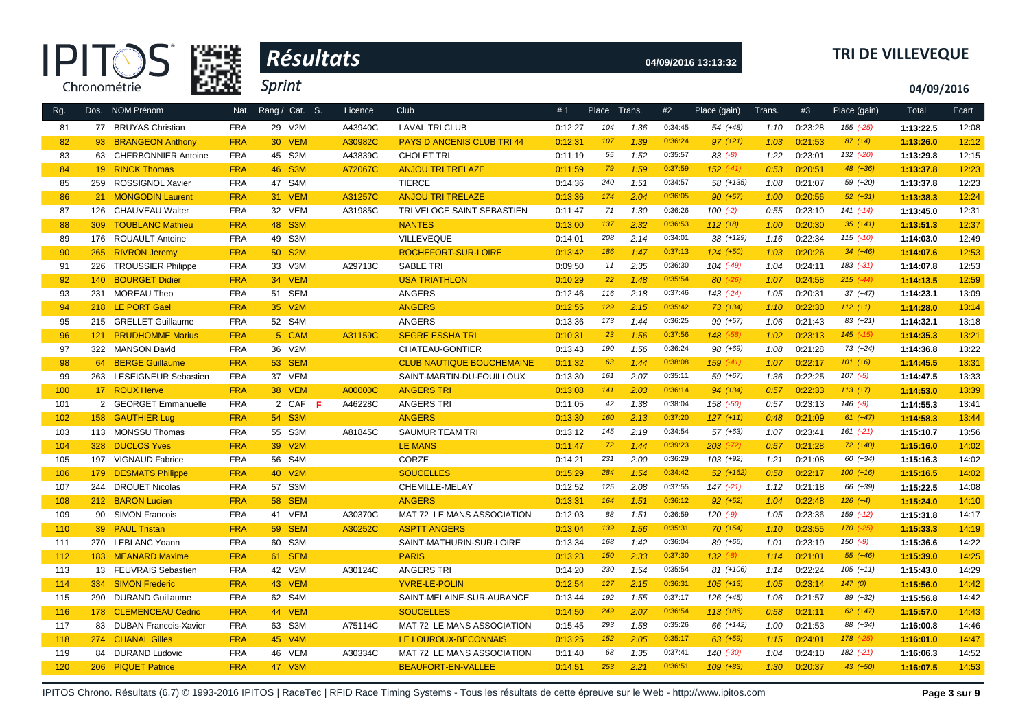



# **04/09/2016 13:13:32 TRI DE VILLEVEQUE**

**04/09/2016**

| Rg. |     | Dos. NOM Prénom              | Nat.       | Rang / Cat. S.      | Licence | <b>Club</b>                       | #1      | Place Trans. |      | #2      | Place (gain)  | Trans. | #3      | Place (gain)  | Total     | Ecart |
|-----|-----|------------------------------|------------|---------------------|---------|-----------------------------------|---------|--------------|------|---------|---------------|--------|---------|---------------|-----------|-------|
| 81  |     | 77 BRUYAS Christian          | <b>FRA</b> | 29 V2M              | A43940C | <b>LAVAL TRI CLUB</b>             | 0:12:27 | 104          | 1:36 | 0:34:45 | 54 (+48)      | 1:10   | 0:23:28 | $155 (-25)$   | 1:13:22.5 | 12:08 |
| 82  |     | 93 BRANGEON Anthony          | <b>FRA</b> | 30 VEM              | A30982C | <b>PAYS D ANCENIS CLUB TRI 44</b> | 0:12:31 | 107          | 1:39 | 0:36:24 | $97 (+21)$    | 1:03   | 0:21:53 | $87 (+4)$     | 1:13:26.0 | 12:12 |
| 83  |     | 63 CHERBONNIER Antoine       | <b>FRA</b> | 45 S2M              | A43839C | <b>CHOLET TRI</b>                 | 0:11:19 | 55           | 1:52 | 0:35:57 | $83 (-8)$     | 1:22   | 0:23:01 | 132 (-20)     | 1:13:29.8 | 12:15 |
| 84  |     | 19 RINCK Thomas              | <b>FRA</b> | 46 S3M              | A72067C | <b>ANJOU TRI TRELAZE</b>          | 0:11:59 | 79           | 1:59 | 0:37:59 | $152$ $(-41)$ | 0:53   | 0:20:51 | 48 (+36)      | 1:13:37.8 | 12:23 |
| 85  | 259 | <b>ROSSIGNOL Xavier</b>      | <b>FRA</b> | 47 S4M              |         | <b>TIERCE</b>                     | 0:14:36 | 240          | 1:51 | 0:34:57 | 58 (+135)     | 1:08   | 0:21:07 | 59 (+20)      | 1:13:37.8 | 12:23 |
| 86  |     | 21 MONGODIN Laurent          | <b>FRA</b> | 31 VEM              | A31257C | <b>ANJOU TRI TRELAZE</b>          | 0:13:36 | 174          | 2:04 | 0:36:05 | $90 (+57)$    | 1:00   | 0:20:56 | $52(+31)$     | 1:13:38.3 | 12:24 |
| 87  | 126 | <b>CHAUVEAU Walter</b>       | <b>FRA</b> | 32 VEM              | A31985C | TRI VELOCE SAINT SEBASTIEN        | 0:11:47 | 71           | 1:30 | 0:36:26 | $100(-2)$     | 0:55   | 0:23:10 | $141 (-14)$   | 1:13:45.0 | 12:31 |
| 88  | 309 | <b>TOUBLANC Mathieu</b>      | <b>FRA</b> | 48 S3M              |         | <b>NANTES</b>                     | 0:13:00 | 137          | 2:32 | 0:36:53 | $112 (+8)$    | 1:00   | 0:20:30 | $35 (+41)$    | 1:13:51.3 | 12:37 |
| 89  | 176 | <b>ROUAULT Antoine</b>       | <b>FRA</b> | 49 S3M              |         | <b>VILLEVEQUE</b>                 | 0:14:01 | 208          | 2:14 | 0:34:01 | 38 (+129)     | 1:16   | 0:22:34 | $115$ $(-10)$ | 1:14:03.0 | 12:49 |
| 90  | 265 | <b>RIVRON Jeremy</b>         | <b>FRA</b> | 50 S2M              |         | ROCHEFORT-SUR-LOIRE               | 0:13:42 | 186          | 1:47 | 0:37:13 | $124 (+50)$   | 1:03   | 0:20:26 | $34 (+46)$    | 1:14:07.6 | 12:53 |
| 91  | 226 | <b>TROUSSIER Philippe</b>    | <b>FRA</b> | 33 V3M              | A29713C | <b>SABLE TRI</b>                  | 0:09:50 | 11           | 2:35 | 0:36:30 | $104$ $(-49)$ | 1:04   | 0:24:11 | $183$ $(-31)$ | 1:14:07.8 | 12:53 |
| 92  | 140 | <b>BOURGET Didier</b>        | <b>FRA</b> | 34 VEM              |         | <b>USA TRIATHLON</b>              | 0:10:29 | 22           | 1:48 | 0:35:54 | $80$ $(-26)$  | 1:07   | 0:24:58 | $215$ (-44)   | 1:14:13.5 | 12:59 |
| 93  | 231 | <b>MOREAU Theo</b>           | <b>FRA</b> | 51 SEM              |         | <b>ANGERS</b>                     | 0:12:46 | 116          | 2:18 | 0:37:46 | $143$ $(-24)$ | 1:05   | 0:20:31 | $37 (+47)$    | 1:14:23.1 | 13:09 |
| 94  |     | 218 LE PORT Gael             | <b>FRA</b> | 35 V2M              |         | <b>ANGERS</b>                     | 0:12:55 | 129          | 2:15 | 0:35:42 | $73 (+34)$    | 1:10   | 0:22:30 | $112 (+1)$    | 1:14:28.0 | 13:14 |
| 95  |     | 215 GRELLET Guillaume        | <b>FRA</b> | 52 S4M              |         | ANGERS                            | 0:13:36 | 173          | 1:44 | 0:36:25 | 99 (+57)      | 1:06   | 0:21:43 | $83 (+21)$    | 1:14:32.1 | 13:18 |
| 96  |     | 121 PRUDHOMME Marius         | <b>FRA</b> | 5 CAM               | A31159C | <b>SEGRE ESSHA TRI</b>            | 0:10:31 | 23           | 1:56 | 0:37:56 | $148$ $(-58)$ | 1:02   | 0:23:13 | $145$ $(-15)$ | 1:14:35.3 | 13:21 |
| 97  |     | 322 MANSON David             | <b>FRA</b> | 36 V2M              |         | CHATEAU-GONTIER                   | 0:13:43 | 190          | 1:56 | 0:36:24 | 98 (+69)      | 1:08   | 0:21:28 | $73(+24)$     | 1:14:36.8 | 13:22 |
| 98  |     | 64 BERGE Guillaume           | <b>FRA</b> | <b>53 SEM</b>       |         | <b>CLUB NAUTIQUE BOUCHEMAINE</b>  | 0:11:32 | 63           | 1:44 | 0:38:08 | $159^{(-41)}$ | 1:07   | 0:22:17 | $101 (+6)$    | 1:14:45.5 | 13:31 |
| 99  |     | 263 LESEIGNEUR Sebastien     | <b>FRA</b> | 37 VEM              |         | SAINT-MARTIN-DU-FOUILLOUX         | 0:13:30 | 161          | 2:07 | 0:35:11 | 59 (+67)      | 1:36   | 0:22:25 | $107$ $(-5)$  | 1:14:47.5 | 13:33 |
| 100 |     | 17 ROUX Herve                | <b>FRA</b> | <b>38 VEM</b>       | A00000C | <b>ANGERS TRI</b>                 | 0:13:08 | 141          | 2:03 | 0:36:14 | $94 (+34)$    | 0:57   | 0:22:33 | $113 (+7)$    | 1:14:53.0 | 13:39 |
| 101 |     | 2 GEORGET Emmanuelle         | <b>FRA</b> | 2 CAF<br>- F        | A46228C | <b>ANGERS TRI</b>                 | 0:11:05 | 42           | 1:38 | 0:38:04 | 158 (-50)     | 0:57   | 0:23:13 | $146$ $(-9)$  | 1:14:55.3 | 13:41 |
| 102 |     | 158 GAUTHIER Lug             | <b>FRA</b> | 54 S3M              |         | <b>ANGERS</b>                     | 0:13:30 | 160          | 2:13 | 0:37:20 | $127 (+11)$   | 0:48   | 0:21:09 | $61 (+47)$    | 1:14:58.3 | 13:44 |
| 103 |     | 113 MONSSU Thomas            | <b>FRA</b> | 55 S3M              | A81845C | SAUMUR TEAM TRI                   | 0:13:12 | 145          | 2:19 | 0:34:54 | $57(+63)$     | 1:07   | 0:23:41 | $161 (-21)$   | 1:15:10.7 | 13:56 |
| 104 |     | 328 DUCLOS Yves              | <b>FRA</b> | 39 V <sub>2</sub> M |         | <b>LE MANS</b>                    | 0:11:47 | 72           | 1:44 | 0:39:23 | $203$ $(-72)$ | 0:57   | 0:21:28 | $72 (+40)$    | 1:15:16.0 | 14:02 |
| 105 |     | 197 VIGNAUD Fabrice          | <b>FRA</b> | 56 S4M              |         | CORZE                             | 0:14:21 | 231          | 2:00 | 0:36:29 | $103 (+92)$   | 1:21   | 0:21:08 | 60 (+34)      | 1:15:16.3 | 14:02 |
| 106 |     | 179 DESMATS Philippe         | <b>FRA</b> | 40 V2M              |         | <b>SOUCELLES</b>                  | 0:15:29 | 284          | 1:54 | 0:34:42 | $52$ $(+162)$ | 0:58   | 0:22:17 | $100 (+16)$   | 1:15:16.5 | 14:02 |
| 107 | 244 | <b>DROUET Nicolas</b>        | <b>FRA</b> | 57 S3M              |         | CHEMILLE-MELAY                    | 0:12:52 | 125          | 2:08 | 0:37:55 | $147$ $(-21)$ | 1:12   | 0:21:18 | 66 (+39)      | 1:15:22.5 | 14:08 |
| 108 |     | 212 BARON Lucien             | <b>FRA</b> | <b>58 SEM</b>       |         | <b>ANGERS</b>                     | 0:13:31 | 164          | 1:51 | 0:36:12 | $92 (+52)$    | 1:04   | 0:22:48 | $126 (+4)$    | 1:15:24.0 | 14:10 |
| 109 |     | 90 SIMON Francois            | <b>FRA</b> | 41 VEM              | A30370C | MAT 72 LE MANS ASSOCIATION        | 0:12:03 | 88           | 1:51 | 0:36:59 | $120(-9)$     | 1:05   | 0:23:36 | 159 (-12)     | 1:15:31.8 | 14:17 |
| 110 | 39  | <b>PAUL Tristan</b>          | <b>FRA</b> | <b>59 SEM</b>       | A30252C | <b>ASPTT ANGERS</b>               | 0:13:04 | 139          | 1:56 | 0:35:31 | $70(+54)$     | 1:10   | 0:23:55 | $170$ $(-25)$ | 1:15:33.3 | 14:19 |
| 111 | 270 | <b>LEBLANC Yoann</b>         | <b>FRA</b> | 60 S3M              |         | SAINT-MATHURIN-SUR-LOIRE          | 0:13:34 | 168          | 1:42 | 0:36:04 | 89 (+66)      | 1:01   | 0:23:19 | $150 (-9)$    | 1:15:36.6 | 14:22 |
| 112 |     | 183 MEANARD Maxime           | <b>FRA</b> | 61 SEM              |         | <b>PARIS</b>                      | 0:13:23 | 150          | 2:33 | 0:37:30 | $132 (+8)$    | 1:14   | 0:21:01 | $55(+46)$     | 1:15:39.0 | 14:25 |
| 113 |     | 13 FEUVRAIS Sebastien        | <b>FRA</b> | 42 V2M              | A30124C | <b>ANGERS TRI</b>                 | 0:14:20 | 230          | 1:54 | 0:35:54 | 81 (+106)     | 1:14   | 0:22:24 | $105 (+11)$   | 1:15:43.0 | 14:29 |
| 114 |     | 334 SIMON Frederic           | <b>FRA</b> | 43 VEM              |         | <b>YVRE-LE-POLIN</b>              | 0:12:54 | 127          | 2:15 | 0:36:31 | $105$ $(+13)$ | 1:05   | 0:23:14 | 147(0)        | 1:15:56.0 | 14:42 |
| 115 | 290 | <b>DURAND Guillaume</b>      | <b>FRA</b> | 62 S4M              |         | SAINT-MELAINE-SUR-AUBANCE         | 0:13:44 | 192          | 1:55 | 0:37:17 | 126 (+45)     | 1:06   | 0:21:57 | 89 (+32)      | 1:15:56.8 | 14:42 |
| 116 |     | 178 CLEMENCEAU Cedric        | <b>FRA</b> | 44 VEM              |         | <b>SOUCELLES</b>                  | 0:14:50 | 249          | 2:07 | 0:36:54 | $113(+86)$    | 0:58   | 0:21:11 | $62 (+47)$    | 1:15:57.0 | 14:43 |
| 117 | 83  | <b>DUBAN Francois-Xavier</b> | <b>FRA</b> | 63 S3M              | A75114C | MAT 72 LE MANS ASSOCIATION        | 0:15:45 | 293          | 1:58 | 0:35:26 | 66 (+142)     | 1:00   | 0:21:53 | 88 (+34)      | 1:16:00.8 | 14:46 |
| 118 |     | 274 CHANAL Gilles            | <b>FRA</b> | 45 V4M              |         | LE LOUROUX-BECONNAIS              | 0:13:25 | 152          | 2:05 | 0:35:17 | $63$ $(+59)$  | 1:15   | 0:24:01 | $178$ $(-25)$ | 1:16:01.0 | 14:47 |
| 119 |     | 84 DURAND Ludovic            | <b>FRA</b> | 46 VEM              | A30334C | MAT 72 LE MANS ASSOCIATION        | 0:11:40 | 68           | 1:35 | 0:37:41 | $140$ $(-30)$ | 1:04   | 0:24:10 | $182$ $(-21)$ | 1:16:06.3 | 14:52 |
| 120 |     | 206 PIQUET Patrice           | <b>FRA</b> | 47 V3M              |         | <b>BEAUFORT-EN-VALLEE</b>         | 0:14:51 | 253          | 2:21 | 0:36:51 | $109(+83)$    | 1:30   | 0:20:37 | $43(+50)$     | 1:16:07.5 | 14:53 |

IPITOS Chrono. Résultats (6.7) © 1993-2016 IPITOS | RaceTec | RFID Race Timing Systems - Tous les résultats de cette épreuve sur le Web - http://www.ipitos.com Page 3 sur 9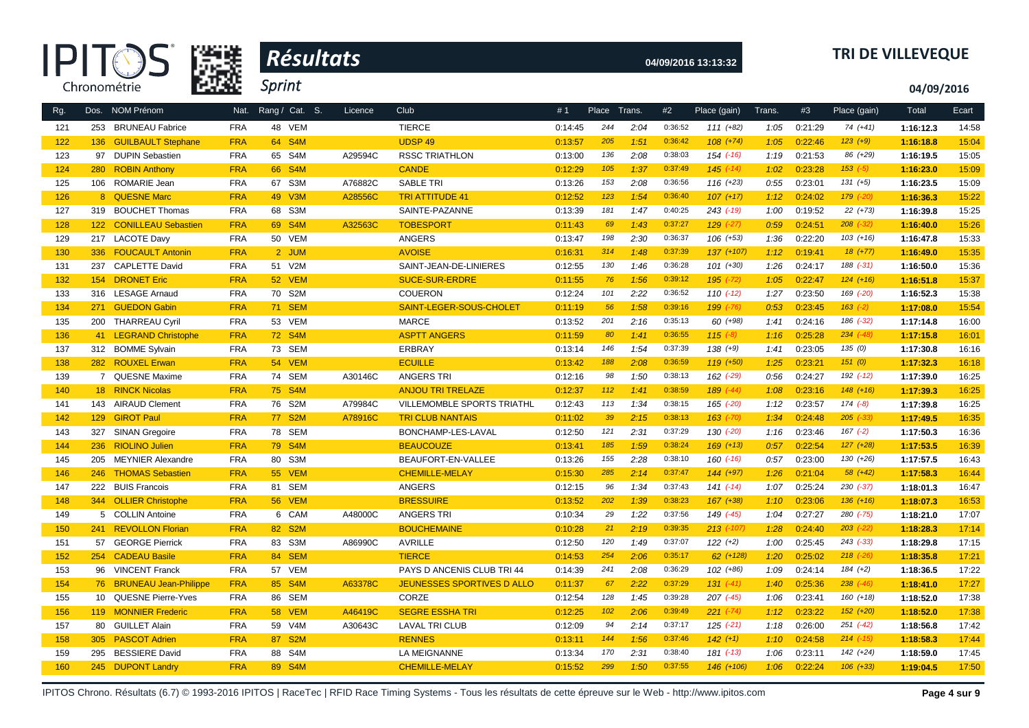| Æ            |
|--------------|
| Chronométrie |



# **04/09/2016 13:13:32 TRI DE VILLEVEQUE**

**04/09/2016**

| Rg. |     | Dos. NOM Prénom            | Nat.       | Rang / Cat. S. | Licence | Club                              | #1      | Place Trans. |      | #2      | Place (gain)  | Trans. | #3      | Place (gain)  | Total     | Ecart |
|-----|-----|----------------------------|------------|----------------|---------|-----------------------------------|---------|--------------|------|---------|---------------|--------|---------|---------------|-----------|-------|
|     |     |                            |            |                |         |                                   |         | 244          |      | 0:36:52 |               |        |         |               |           |       |
| 121 |     | 253 BRUNEAU Fabrice        | <b>FRA</b> | 48 VEM         |         | <b>TIERCE</b>                     | 0:14:45 |              | 2:04 | 0:36:42 | $111 (+82)$   | 1:05   | 0:21:29 | 74 (+41)      | 1:16:12.3 | 14:58 |
| 122 |     | 136 GUILBAULT Stephane     | <b>FRA</b> | 64 S4M         |         | <b>UDSP 49</b>                    | 0:13:57 | 205          | 1:51 |         | $108 (+74)$   | 1:05   | 0:22:46 | $123 (+9)$    | 1:16:18.8 | 15:04 |
| 123 | 97  | <b>DUPIN Sebastien</b>     | <b>FRA</b> | 65 S4M         | A29594C | <b>RSSC TRIATHLON</b>             | 0:13:00 | 136          | 2:08 | 0:38:03 | $154$ $(-16)$ | 1:19   | 0:21:53 | 86 (+29)      | 1:16:19.5 | 15:05 |
| 124 | 280 | <b>ROBIN Anthony</b>       | <b>FRA</b> | 66 S4M         |         | <b>CANDE</b>                      | 0:12:29 | 105          | 1:37 | 0:37:49 | $145$ $(-14)$ | 1:02   | 0:23:28 | $153(-5)$     | 1:16:23.0 | 15:09 |
| 125 |     | 106 ROMARIE Jean           | <b>FRA</b> | 67 S3M         | A76882C | <b>SABLE TRI</b>                  | 0:13:26 | 153          | 2:08 | 0:36:56 | $116 (+23)$   | 0:55   | 0:23:01 | $131 (+5)$    | 1:16:23.5 | 15:09 |
| 126 |     | 8 QUESNE Marc              | <b>FRA</b> | 49 V3M         | A28556C | <b>TRI ATTITUDE 41</b>            | 0:12:52 | 123          | 1:54 | 0:36:40 | $107 (+17)$   | 1:12   | 0:24:02 | 179 (-20)     | 1:16:36.3 | 15:22 |
| 127 |     | 319 BOUCHET Thomas         | <b>FRA</b> | 68 S3M         |         | SAINTE-PAZANNE                    | 0:13:39 | 181          | 1:47 | 0:40:25 | 243 (-19)     | 1:00   | 0:19:52 | $22 (+73)$    | 1:16:39.8 | 15:25 |
| 128 | 122 | <b>CONILLEAU Sebastien</b> | <b>FRA</b> | 69 S4M         | A32563C | <b>TOBESPORT</b>                  | 0:11:43 | 69           | 1:43 | 0:37:27 | $129$ $(-27)$ | 0:59   | 0:24:51 | $208$ $(-32)$ | 1:16:40.0 | 15:26 |
| 129 |     | 217 LACOTE Davy            | <b>FRA</b> | 50 VEM         |         | <b>ANGERS</b>                     | 0:13:47 | 198          | 2:30 | 0:36:37 | $106 (+53)$   | 1:36   | 0:22:20 | $103 (+16)$   | 1:16:47.8 | 15:33 |
| 130 |     | 336 FOUCAULT Antonin       | <b>FRA</b> | 2 JUM          |         | <b>AVOISE</b>                     | 0:16:31 | 314          | 1:48 | 0:37:39 | $137 (+107)$  | 1:12   | 0:19:41 | $18 (+77)$    | 1:16:49.0 | 15:35 |
| 131 |     | 237 CAPLETTE David         | <b>FRA</b> | 51 V2M         |         | SAINT-JEAN-DE-LINIERES            | 0:12:55 | 130          | 1:46 | 0:36:28 | $101 (+30)$   | 1:26   | 0:24:17 | 188 (-31)     | 1:16:50.0 | 15:36 |
| 132 |     | 154 DRONET Eric            | <b>FRA</b> | 52 VEM         |         | <b>SUCE-SUR-ERDRE</b>             | 0:11:55 | 76           | 1:56 | 0:39:12 | $195$ $(-72)$ | 1:05   | 0:22:47 | $124 (+16)$   | 1:16:51.8 | 15:37 |
| 133 | 316 | <b>LESAGE Arnaud</b>       | <b>FRA</b> | 70 S2M         |         | <b>COUERON</b>                    | 0:12:24 | 101          | 2:22 | 0:36:52 | $110(-12)$    | 1:27   | 0:23:50 | 169 (-20)     | 1:16:52.3 | 15:38 |
| 134 | 271 | <b>GUEDON Gabin</b>        | <b>FRA</b> | <b>71 SEM</b>  |         | SAINT-LEGER-SOUS-CHOLET           | 0:11:19 | 56           | 1:58 | 0:39:16 | $199$ $(-76)$ | 0:53   | 0:23:45 | $163$ $(-2)$  | 1:17:08.0 | 15:54 |
| 135 |     | 200 THARREAU Cyril         | <b>FRA</b> | 53 VEM         |         | <b>MARCE</b>                      | 0:13:52 | 201          | 2:16 | 0:35:13 | 60 (+98)      | 1:41   | 0:24:16 | 186 (-32)     | 1:17:14.8 | 16:00 |
| 136 |     | 41 LEGRAND Christophe      | <b>FRA</b> | 72 S4M         |         | <b>ASPTT ANGERS</b>               | 0:11:59 | 80           | 1:41 | 0:36:55 | $115(-8)$     | 1:16   | 0:25:28 | $234 (-48)$   | 1:17:15.8 | 16:01 |
| 137 |     | 312 BOMME Sylvain          | <b>FRA</b> | 73 SEM         |         | ERBRAY                            | 0:13:14 | 146          | 1:54 | 0:37:39 | $138 (+9)$    | 1:41   | 0:23:05 | 135(0)        | 1:17:30.8 | 16:16 |
| 138 |     | 282 ROUXEL Erwan           | <b>FRA</b> | <b>54 VEM</b>  |         | <b>ECUILLE</b>                    | 0:13:42 | 188          | 2:08 | 0:36:59 | $119 (+50)$   | 1:25   | 0:23:21 | 151(0)        | 1:17:32.3 | 16:18 |
| 139 |     | 7 QUESNE Maxime            | <b>FRA</b> | 74 SEM         | A30146C | <b>ANGERS TRI</b>                 | 0:12:16 | 98           | 1:50 | 0:38:13 | 162 (-29)     | 0:56   | 0:24:27 | 192 (-12)     | 1:17:39.0 | 16:25 |
| 140 |     | 18 RINCK Nicolas           | <b>FRA</b> | 75 S4M         |         | <b>ANJOU TRI TRELAZE</b>          | 0:12:37 | 112          | 1:41 | 0:38:59 | $189$ $(-44)$ | 1:08   | 0:23:16 | $148 (+16)$   | 1:17:39.3 | 16:25 |
| 141 |     | 143 AIRAUD Clement         | <b>FRA</b> | 76 S2M         | A79984C | VILLEMOMBLE SPORTS TRIATHL        | 0:12:43 | 113          | 1:34 | 0:38:15 | 165 (-20)     | 1:12   | 0:23:57 | $174 (-8)$    | 1:17:39.8 | 16:25 |
| 142 | 129 | <b>GIROT Paul</b>          | <b>FRA</b> | 77 S2M         | A78916C | <b>TRI CLUB NANTAIS</b>           | 0:11:02 | 39           | 2:15 | 0:38:13 | $163$ $(-70)$ | 1:34   | 0:24:48 | $205$ $(-33)$ | 1:17:49.5 | 16:35 |
| 143 |     | 327 SINAN Gregoire         | <b>FRA</b> | 78 SEM         |         | BONCHAMP-LES-LAVAL                | 0:12:50 | 121          | 2:31 | 0:37:29 | $130(-20)$    | 1:16   | 0:23:46 | $167$ $(-2)$  | 1:17:50.3 | 16:36 |
| 144 |     | 236 RIOLINO Julien         | <b>FRA</b> | 79 S4M         |         | <b>BEAUCOUZE</b>                  | 0:13:41 | 185          | 1:59 | 0:38:24 | $169 (+13)$   | 0:57   | 0:22:54 | $127 (+28)$   | 1:17:53.5 | 16:39 |
| 145 |     | 205 MEYNIER Alexandre      | <b>FRA</b> | 80 S3M         |         | BEAUFORT-EN-VALLEE                | 0:13:26 | 155          | 2:28 | 0:38:10 | $160 (-16)$   | 0:57   | 0:23:00 | 130 (+26)     | 1:17:57.5 | 16:43 |
| 146 |     | 246 THOMAS Sebastien       | <b>FRA</b> | <b>55 VEM</b>  |         | <b>CHEMILLE-MELAY</b>             | 0:15:30 | 285          | 2:14 | 0:37:47 | $144 (+97)$   | 1:26   | 0:21:04 | $58(+42)$     | 1:17:58.3 | 16:44 |
| 147 | 222 | <b>BUIS Francois</b>       | <b>FRA</b> | 81 SEM         |         | <b>ANGERS</b>                     | 0:12:15 | 96           | 1:34 | 0:37:43 | $141 (-14)$   | 1:07   | 0:25:24 | $230 (-37)$   | 1:18:01.3 | 16:47 |
| 148 |     | 344 OLLIER Christophe      | <b>FRA</b> | <b>56 VEM</b>  |         | <b>BRESSUIRE</b>                  | 0:13:52 | 202          | 1:39 | 0:38:23 | $167 (+38)$   | 1:10   | 0:23:06 | $136 (+16)$   | 1:18:07.3 | 16:53 |
| 149 |     | 5 COLLIN Antoine           | <b>FRA</b> | 6 CAM          | A48000C | <b>ANGERS TRI</b>                 | 0:10:34 | 29           | 1:22 | 0:37:56 | 149 (-45)     | 1:04   | 0:27:27 | $280$ $(-75)$ | 1:18:21.0 | 17:07 |
| 150 |     | 241 REVOLLON Florian       | <b>FRA</b> | 82 S2M         |         | <b>BOUCHEMAINE</b>                | 0:10:28 | 21           | 2:19 | 0:39:35 | $213$ (-107)  | 1:28   | 0:24:40 | $203$ (-22)   | 1:18:28.3 | 17:14 |
| 151 |     | 57 GEORGE Pierrick         | <b>FRA</b> | 83 S3M         | A86990C | <b>AVRILLE</b>                    | 0:12:50 | 120          | 1:49 | 0:37:07 | $122 (+2)$    | 1:00   | 0:25:45 | $243$ $(-33)$ | 1:18:29.8 | 17:15 |
| 152 |     | 254 CADEAU Basile          | <b>FRA</b> | 84 SEM         |         | <b>TIERCE</b>                     | 0:14:53 | 254          | 2:06 | 0:35:17 | $62$ $(+128)$ | 1:20   | 0:25:02 | $218$ (-26)   | 1:18:35.8 | 17:21 |
| 153 |     | 96 VINCENT Franck          | <b>FRA</b> | 57 VEM         |         | PAYS D ANCENIS CLUB TRI 44        | 0:14:39 | 241          | 2:08 | 0:36:29 | 102 (+86)     | 1:09   | 0:24:14 | $184 (+2)$    | 1:18:36.5 | 17:22 |
| 154 |     | 76 BRUNEAU Jean-Philippe   | <b>FRA</b> | 85 S4M         | A63378C | <b>JEUNESSES SPORTIVES D ALLO</b> | 0:11:37 | 67           | 2:22 | 0:37:29 | $131 (+41)$   | 1:40   | 0:25:36 | $238$ $(-46)$ | 1:18:41.0 | 17:27 |
| 155 |     | 10 QUESNE Pierre-Yves      | <b>FRA</b> | 86 SEM         |         | CORZE                             | 0:12:54 | 128          | 1:45 | 0:39:28 | $207$ $(-45)$ | 1:06   | 0:23:41 | $160 (+18)$   | 1:18:52.0 | 17:38 |
| 156 |     | 119 MONNIER Frederic       | <b>FRA</b> | 58 VEM         | A46419C | <b>SEGRE ESSHA TRI</b>            | 0:12:25 | 102          | 2:06 | 0:39:49 | $221 (-74)$   | 1:12   | 0:23:22 | $152 (+20)$   | 1:18:52.0 | 17:38 |
| 157 | 80  | <b>GUILLET Alain</b>       | <b>FRA</b> | 59 V4M         | A30643C | <b>LAVAL TRI CLUB</b>             | 0:12:09 | 94           | 2:14 | 0:37:17 | $125$ $(-21)$ | 1:18   | 0:26:00 | $251 (-42)$   | 1:18:56.8 | 17:42 |
| 158 | 305 | <b>PASCOT Adrien</b>       | <b>FRA</b> | 87 S2M         |         | <b>RENNES</b>                     | 0:13:11 | 144          | 1:56 | 0:37:46 | $142 (+1)$    | 1:10   | 0:24:58 | $214$ $(-15)$ | 1:18:58.3 | 17:44 |
| 159 | 295 | <b>BESSIERE David</b>      | <b>FRA</b> | 88 S4M         |         | LA MEIGNANNE                      | 0:13:34 | 170          | 2:31 | 0:38:40 | $181$ $(-13)$ | 1:06   | 0:23:11 | $142 (+24)$   | 1:18:59.0 | 17:45 |
| 160 |     | 245 DUPONT Landry          | <b>FRA</b> | 89 S4M         |         | <b>CHEMILLE-MELAY</b>             | 0:15:52 | 299          | 1:50 | 0:37:55 | $146 (+106)$  | 1:06   | 0:22:24 | $106 (+33)$   | 1:19:04.5 | 17:50 |
|     |     |                            |            |                |         |                                   |         |              |      |         |               |        |         |               |           |       |

IPITOS Chrono. Résultats (6.7) © 1993-2016 IPITOS | RaceTec | RFID Race Timing Systems - Tous les résultats de cette épreuve sur le Web - http://www.ipitos.com **Page 4 sur 9**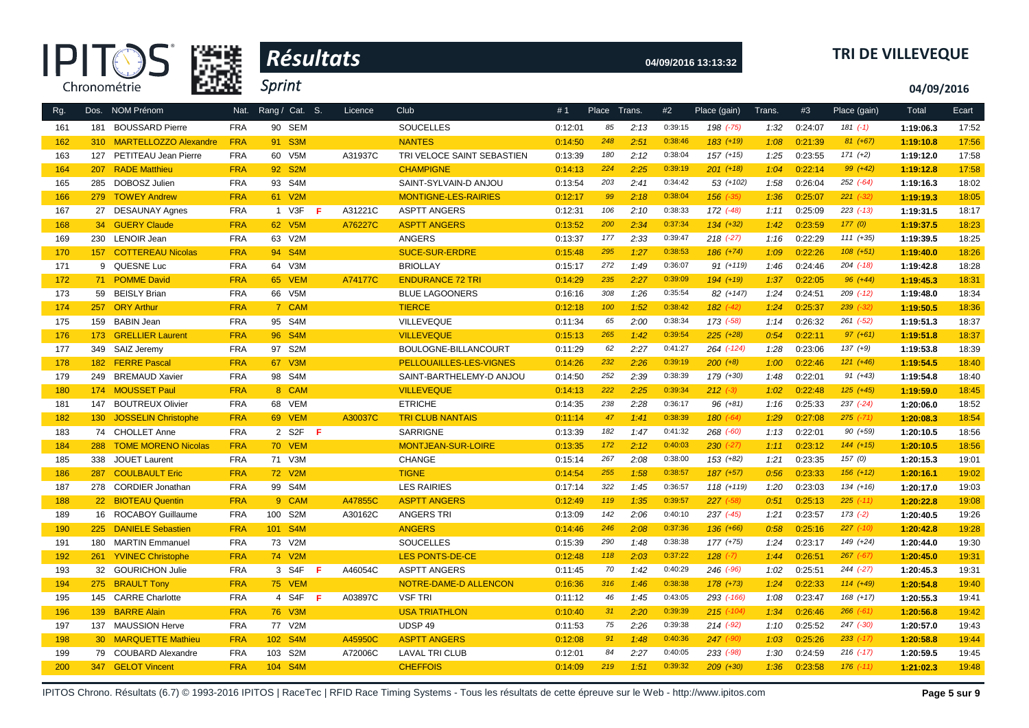| Æ            |
|--------------|
| Chronométrie |



# **04/09/2016 13:13:32 TRI DE VILLEVEQUE**

**04/09/2016**

| Rg. |                  | Dos. NOM Prénom            | Nat.       | Rang / Cat. S.          |    | Licence | Club                       | #1      | Place Trans. |      | #2      | Place (gain)  | Trans. | #3      | Place (gain)  | Total     | Ecart |
|-----|------------------|----------------------------|------------|-------------------------|----|---------|----------------------------|---------|--------------|------|---------|---------------|--------|---------|---------------|-----------|-------|
| 161 | 181              | <b>BOUSSARD Pierre</b>     | <b>FRA</b> | 90 SEM                  |    |         | <b>SOUCELLES</b>           | 0:12:01 | 85           | 2:13 | 0:39:15 | 198 (-75)     | 1:32   | 0:24:07 | $181(-1)$     | 1:19:06.3 | 17:52 |
| 162 |                  | 310 MARTELLOZZO Alexandre  | <b>FRA</b> | 91 S3M                  |    |         | <b>NANTES</b>              | 0:14:50 | 248          | 2:51 | 0:38:46 | $183 (+19)$   | 1:08   | 0:21:39 | $81 (+67)$    | 1:19:10.8 | 17:56 |
| 163 | 127              | PETITEAU Jean Pierre       | <b>FRA</b> | 60 V5M                  |    | A31937C | TRI VELOCE SAINT SEBASTIEN | 0:13:39 | 180          | 2:12 | 0:38:04 | $157 (+15)$   | 1:25   | 0:23:55 | $171 (+2)$    | 1:19:12.0 | 17:58 |
| 164 | 207              | <b>RADE Matthieu</b>       | <b>FRA</b> | 92 S2M                  |    |         | <b>CHAMPIGNE</b>           | 0:14:13 | 224          | 2:25 | 0:39:19 | $201 (+18)$   | 1:04   | 0:22:14 | $99 (+42)$    | 1:19:12.8 | 17:58 |
| 165 |                  | 285 DOBOSZ Julien          | <b>FRA</b> | 93 S4M                  |    |         | SAINT-SYLVAIN-D ANJOU      | 0:13:54 | 203          | 2:41 | 0:34:42 | $53 (+102)$   | 1:58   | 0:26:04 | $252$ $(-64)$ | 1:19:16.3 | 18:02 |
| 166 |                  | 279 TOWEY Andrew           | <b>FRA</b> | 61 V2M                  |    |         | MONTIGNE-LES-RAIRIES       | 0:12:17 | 99           | 2:18 | 0:38:04 | $156$ $(-35)$ | 1:36   | 0:25:07 | $221 (-32)$   | 1:19:19.3 | 18:05 |
| 167 |                  | 27 DESAUNAY Agnes          | <b>FRA</b> | 1 V3F                   | F  | A31221C | <b>ASPTT ANGERS</b>        | 0:12:31 | 106          | 2:10 | 0:38:33 | 172 (-48)     | 1:11   | 0:25:09 | $223$ (-13)   | 1:19:31.5 | 18:17 |
| 168 |                  | 34 GUERY Claude            | <b>FRA</b> | 62 V5M                  |    | A76227C | <b>ASPTT ANGERS</b>        | 0:13:52 | 200          | 2:34 | 0:37:34 | $134 (+32)$   | 1:42   | 0:23:59 | 177(0)        | 1:19:37.5 | 18:23 |
| 169 |                  | 230 LENOIR Jean            | <b>FRA</b> | 63 V2M                  |    |         | <b>ANGERS</b>              | 0:13:37 | 177          | 2:33 | 0:39:47 | $218 (+27)$   | 1:16   | 0:22:29 | $111 (+35)$   | 1:19:39.5 | 18:25 |
| 170 |                  | 157 COTTEREAU Nicolas      | <b>FRA</b> | 94 S4M                  |    |         | <b>SUCE-SUR-ERDRE</b>      | 0:15:48 | 295          | 1:27 | 0:38:53 | 186 (+74)     | 1:09   | 0:22:26 | $108 (+51)$   | 1:19:40.0 | 18:26 |
| 171 |                  | 9 QUESNE Luc               | <b>FRA</b> | 64 V3M                  |    |         | <b>BRIOLLAY</b>            | 0:15:17 | 272          | 1:49 | 0:36:07 | $91 (+119)$   | 1:46   | 0:24:46 | $204$ $(-18)$ | 1:19:42.8 | 18:28 |
| 172 |                  | 71 POMME David             | <b>FRA</b> | 65 VEM                  |    | A74177C | <b>ENDURANCE 72 TRI</b>    | 0:14:29 | 235          | 2:27 | 0:39:09 | $194$ (+19)   | 1:37   | 0:22:05 | $96 (+44)$    | 1:19:45.3 | 18:31 |
| 173 |                  | 59 BEISLY Brian            | <b>FRA</b> | 66 V5M                  |    |         | <b>BLUE LAGOONERS</b>      | 0:16:16 | 308          | 1:26 | 0:35:54 | 82 (+147)     | 1:24   | 0:24:51 | $209$ $(-12)$ | 1:19:48.0 | 18:34 |
| 174 | 257              | <b>ORY Arthur</b>          | <b>FRA</b> | 7 CAM                   |    |         | <b>TIERCE</b>              | 0:12:18 | 100          | 1:52 | 0:38:42 | $182$ $(-42)$ | 1:24   | 0:25:37 | $239$ $(-32)$ | 1:19:50.5 | 18:36 |
| 175 |                  | 159 BABIN Jean             | <b>FRA</b> | 95 S4M                  |    |         | VILLEVEQUE                 | 0:11:34 | 65           | 2:00 | 0:38:34 | 173 (-58)     | 1:14   | 0:26:32 | $261$ $(-52)$ | 1:19:51.3 | 18:37 |
| 176 | 173              | <b>GRELLIER Laurent</b>    | <b>FRA</b> | 96 S4M                  |    |         | <b>VILLEVEQUE</b>          | 0:15:13 | 265          | 1:42 | 0:39:54 | $225 (+28)$   | 0:54   | 0:22:11 | $97 (+61)$    | 1:19:51.8 | 18:37 |
| 177 | 349              | SAIZ Jeremy                | <b>FRA</b> | 97 S2M                  |    |         | BOULOGNE-BILLANCOURT       | 0:11:29 | 62           | 2:27 | 0:41:27 | 264 (-124)    | 1:28   | 0:23:06 | $137 (+9)$    | 1:19:53.8 | 18:39 |
| 178 | 182              | <b>FERRE Pascal</b>        | <b>FRA</b> | 67 V3M                  |    |         | PELLOUAILLES-LES-VIGNES    | 0:14:26 | 232          | 2:26 | 0:39:19 | $200 (+8)$    | 1:00   | 0:22:46 | $121 (+46)$   | 1:19:54.5 | 18:40 |
| 179 | 249              | <b>BREMAUD Xavier</b>      | <b>FRA</b> | 98 S4M                  |    |         | SAINT-BARTHELEMY-D ANJOU   | 0:14:50 | 252          | 2:39 | 0:38:39 | 179 (+30)     | 1:48   | 0:22:01 | $91 (+43)$    | 1:19:54.8 | 18:40 |
| 180 |                  | 174 MOUSSET Paul           | <b>FRA</b> | 8 CAM                   |    |         | <b>VILLEVEQUE</b>          | 0:14:13 | 222          | 2:25 | 0:39:34 | $212 (-3)$    | 1:02   | 0:22:48 | $125 (+45)$   | 1:19:59.0 | 18:45 |
| 181 | 147              | <b>BOUTREUX Olivier</b>    | <b>FRA</b> | 68 VEM                  |    |         | <b>ETRICHE</b>             | 0:14:35 | 238          | 2:28 | 0:36:17 | $96 (+81)$    | 1:16   | 0:25:33 | $237 (-24)$   | 1:20:06.0 | 18:52 |
| 182 | 130 <sub>1</sub> | <b>JOSSELIN Christophe</b> | <b>FRA</b> | 69 VEM                  |    | A30037C | <b>TRI CLUB NANTAIS</b>    | 0:11:14 | 47           | 1:41 | 0:38:39 | 180 (-64)     | 1:29   | 0:27:08 | $275$ (-71)   | 1:20:08.3 | 18:54 |
| 183 |                  | 74 CHOLLET Anne            | <b>FRA</b> | 2 S2F                   | -F |         | SARRIGNE                   | 0:13:39 | 182          | 1:47 | 0:41:32 | $268$ $(-60)$ | 1:13   | 0:22:01 | $90 (+59)$    | 1:20:10.5 | 18:56 |
| 184 |                  | 288 TOME MORENO Nicolas    | <b>FRA</b> | <b>70 VEM</b>           |    |         | MONTJEAN-SUR-LOIRE         | 0:13:35 | 172          | 2:12 | 0:40:03 | $230 (-27)$   | 1:11   | 0:23:12 | $144 (+15)$   | 1:20:10.5 | 18:56 |
| 185 | 338              | <b>JOUET Laurent</b>       | <b>FRA</b> | 71 V3M                  |    |         | <b>CHANGE</b>              | 0:15:14 | 267          | 2:08 | 0:38:00 | 153 (+82)     | 1:21   | 0:23:35 | 157(0)        | 1:20:15.3 | 19:01 |
| 186 |                  | 287 COULBAULT Eric         | <b>FRA</b> | 72 V2M                  |    |         | <b>TIGNE</b>               | 0:14:54 | 255          | 1:58 | 0:38:57 | $187 (+57)$   | 0:56   | 0:23:33 | $156 (+12)$   | 1:20:16.1 | 19:02 |
| 187 |                  | 278 CORDIER Jonathan       | <b>FRA</b> | 99 S4M                  |    |         | <b>LES RAIRIES</b>         | 0:17:14 | 322          | 1:45 | 0:36:57 | 118 (+119)    | 1:20   | 0:23:03 | $134 (+16)$   | 1:20:17.0 | 19:03 |
| 188 |                  | 22 BIOTEAU Quentin         | <b>FRA</b> | 9 CAM                   |    | A47855C | <b>ASPTT ANGERS</b>        | 0:12:49 | 119          | 1:35 | 0:39:57 | $227$ (-58)   | 0:51   | 0:25:13 | $225$ (-11)   | 1:20:22.8 | 19:08 |
| 189 |                  | 16 ROCABOY Guillaume       | <b>FRA</b> | 100 S2M                 |    | A30162C | <b>ANGERS TRI</b>          | 0:13:09 | 142          | 2:06 | 0:40:10 | $237$ $(-45)$ | 1:21   | 0:23:57 | $173$ $(-2)$  | 1:20:40.5 | 19:26 |
| 190 |                  | 225 DANIELE Sebastien      | <b>FRA</b> | 101 S4M                 |    |         | <b>ANGERS</b>              | 0:14:46 | 246          | 2:08 | 0:37:36 | 136 (+66)     | 0:58   | 0:25:16 | $227$ (-10)   | 1:20:42.8 | 19:28 |
| 191 | 180              | <b>MARTIN Emmanuel</b>     | <b>FRA</b> | 73 V2M                  |    |         | <b>SOUCELLES</b>           | 0:15:39 | 290          | 1:48 | 0:38:38 | 177 (+75)     | 1:24   | 0:23:17 | 149 (+24)     | 1:20:44.0 | 19:30 |
| 192 |                  | 261 YVINEC Christophe      | <b>FRA</b> | 74 V2M                  |    |         | <b>LES PONTS-DE-CE</b>     | 0:12:48 | 118          | 2:03 | 0:37:22 | $128$ $(-7)$  | 1:44   | 0:26:51 | $267 (-67)$   | 1:20:45.0 | 19:31 |
| 193 |                  | 32 GOURICHON Julie         | <b>FRA</b> | 3 S4F                   | F  | A46054C | <b>ASPTT ANGERS</b>        | 0:11:45 | 70           | 1:42 | 0:40:29 | 246 (-96)     | 1:02   | 0:25:51 | 244 (-27)     | 1:20:45.3 | 19:31 |
| 194 |                  | 275 BRAULT Tony            | <b>FRA</b> | <b>75 VEM</b>           |    |         | NOTRE-DAME-D ALLENCON      | 0:16:36 | 316          | 1:46 | 0:38:38 | $178 (+73)$   | 1:24   | 0:22:33 | $114 (+49)$   | 1:20:54.8 | 19:40 |
| 195 |                  | 145 CARRE Charlotte        | <b>FRA</b> | 4 S4F                   | -F | A03897C | <b>VSF TRI</b>             | 0:11:12 | 46           | 1:45 | 0:43:05 | 293 (-166)    | 1:08   | 0:23:47 | $168 (+17)$   | 1:20:55.3 | 19:41 |
| 196 |                  | 139 BARRE Alain            | <b>FRA</b> | 76 V3M                  |    |         | <b>USA TRIATHLON</b>       | 0:10:40 | 31           | 2:20 | 0:39:39 | $215$ (-104)  | 1:34   | 0:26:46 | $266$ $(-61)$ | 1:20:56.8 | 19:42 |
| 197 |                  | 137 MAUSSION Herve         | <b>FRA</b> | 77 V2M                  |    |         | UDSP 49                    | 0:11:53 | 75           | 2:26 | 0:39:38 | $214 (-92)$   | 1:10   | 0:25:52 | 247 (-30)     | 1:20:57.0 | 19:43 |
| 198 |                  | 30 MARQUETTE Mathieu       | <b>FRA</b> | 102 S4M                 |    | A45950C | <b>ASPTT ANGERS</b>        | 0:12:08 | 91           | 1:48 | 0:40:36 | $247$ (-90)   | 1:03   | 0:25:26 | $233$ (-17)   | 1:20:58.8 | 19:44 |
| 199 |                  | 79 COUBARD Alexandre       | <b>FRA</b> | 103 S2M                 |    | A72006C | <b>LAVAL TRI CLUB</b>      | 0:12:01 | 84           | 2:27 | 0:40:05 | $233 (-98)$   | 1:30   | 0:24:59 | $216$ $(-17)$ | 1:20:59.5 | 19:45 |
| 200 |                  | 347 GELOT Vincent          | <b>FRA</b> | 104<br>S <sub>4</sub> M |    |         | <b>CHEFFOIS</b>            | 0:14:09 | 219          | 1:51 | 0:39:32 | $209(+30)$    | 1:36   | 0:23:58 | $176$ $(-11)$ | 1:21:02.3 | 19:48 |

IPITOS Chrono. Résultats (6.7) © 1993-2016 IPITOS | RaceTec | RFID Race Timing Systems - Tous les résultats de cette épreuve sur le Web - http://www.ipitos.com Page 5 sur 9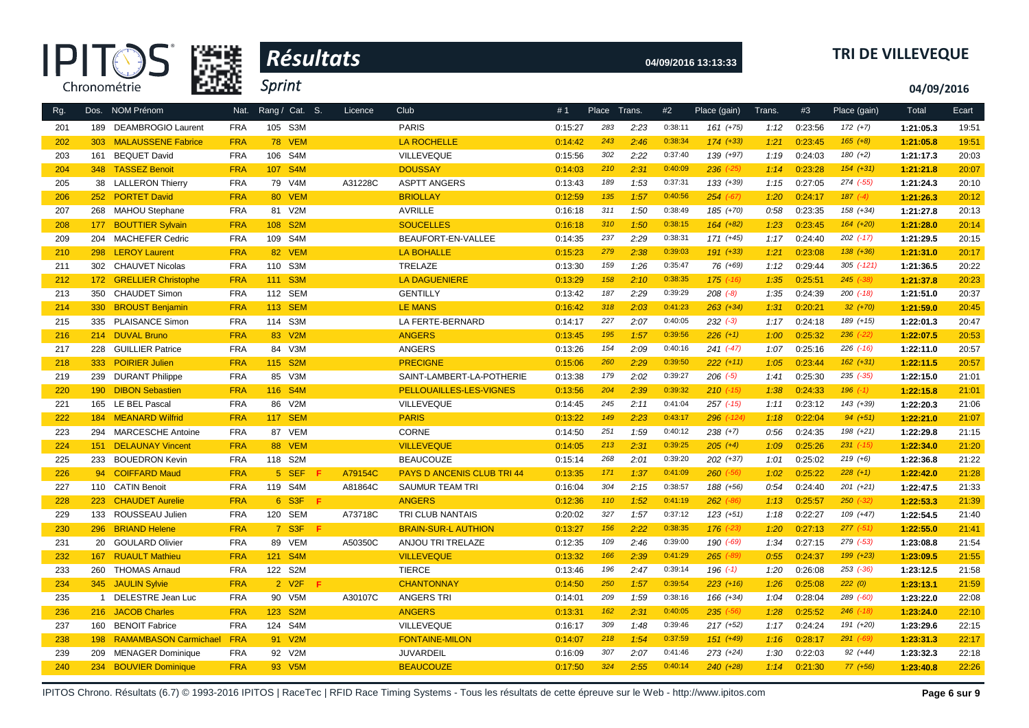| œ            |
|--------------|
| Chronométrie |



# **04/09/2016 13:13:33 TRI DE VILLEVEQUE**

**04/09/2016**

| Rg. |                | Dos. NOM Prénom              | Nat.       | Rang / Cat. S.          |    | Licence | Club                              | #1      | Place Trans. |      | #2      | Place (gain)  | Trans. | #3      | Place (gain)   | Total     | Ecart |
|-----|----------------|------------------------------|------------|-------------------------|----|---------|-----------------------------------|---------|--------------|------|---------|---------------|--------|---------|----------------|-----------|-------|
| 201 | 189            | <b>DEAMBROGIO Laurent</b>    | <b>FRA</b> | 105 S3M                 |    |         | <b>PARIS</b>                      | 0:15:27 | 283          | 2:23 | 0:38:11 | $161 (+75)$   | 1:12   | 0:23:56 | $172 (+7)$     | 1:21:05.3 | 19:51 |
| 202 | 303            | <b>MALAUSSENE Fabrice</b>    | <b>FRA</b> | <b>78 VEM</b>           |    |         | <b>LA ROCHELLE</b>                | 0:14:42 | 243          | 2:46 | 0:38:34 | $174 (+33)$   | 1:21   | 0:23:45 | $165 (+8)$     | 1:21:05.8 | 19:51 |
| 203 | 161            | <b>BEQUET David</b>          | <b>FRA</b> | S <sub>4</sub> M<br>106 |    |         | VILLEVEQUE                        | 0:15:56 | 302          | 2:22 | 0:37:40 | 139 (+97)     | 1:19   | 0:24:03 | $180 (+2)$     | 1:21:17.3 | 20:03 |
| 204 | 348            | <b>TASSEZ Benoit</b>         | <b>FRA</b> | 107 S4M                 |    |         | <b>DOUSSAY</b>                    | 0:14:03 | 210          | 2:31 | 0:40:09 | $236$ $(-25)$ | 1:14   | 0:23:28 | $154 (+31)$    | 1:21:21.8 | 20:07 |
| 205 |                | 38 LALLERON Thierry          | <b>FRA</b> | 79 V4M                  |    | A31228C | <b>ASPTT ANGERS</b>               | 0:13:43 | 189          | 1:53 | 0:37:31 | $133 (+39)$   | 1:15   | 0:27:05 | 274 (-55)      | 1:21:24.3 | 20:10 |
| 206 | 252            | <b>PORTET David</b>          | <b>FRA</b> | 80 VEM                  |    |         | <b>BRIOLLAY</b>                   | 0:12:59 | 135          | 1:57 | 0:40:56 | $254 (+67)$   | 1:20   | 0:24:17 | $187 (-4)$     | 1:21:26.3 | 20:12 |
| 207 |                | 268 MAHOU Stephane           | <b>FRA</b> | 81 V2M                  |    |         | AVRILLE                           | 0:16:18 | 311          | 1:50 | 0:38:49 | 185 (+70)     | 0:58   | 0:23:35 | $158 (+34)$    | 1:21:27.8 | 20:13 |
| 208 | 177            | <b>BOUTTIER Sylvain</b>      | <b>FRA</b> | S <sub>2</sub> M<br>108 |    |         | <b>SOUCELLES</b>                  | 0:16:18 | 310          | 1:50 | 0:38:15 | $164 (+82)$   | 1:23   | 0:23:45 | $164 (+20)$    | 1:21:28.0 | 20:14 |
| 209 | 204            | <b>MACHEFER Cedric</b>       | <b>FRA</b> | 109 S4M                 |    |         | BEAUFORT-EN-VALLEE                | 0:14:35 | 237          | 2:29 | 0:38:31 | $171 (+45)$   | 1:17   | 0:24:40 | $202$ $(-17)$  | 1:21:29.5 | 20:15 |
| 210 | 298            | <b>LEROY Laurent</b>         | <b>FRA</b> | 82 VEM                  |    |         | <b>LA BOHALLE</b>                 | 0:15:23 | 279          | 2:38 | 0:39:03 | $191 (+33)$   | 1:21   | 0:23:08 | $138 (+36)$    | 1:21:31.0 | 20:17 |
| 211 | 302            | <b>CHAUVET Nicolas</b>       | <b>FRA</b> | 110 S3M                 |    |         | TRELAZE                           | 0:13:30 | 159          | 1:26 | 0:35:47 | 76 (+69)      | 1:12   | 0:29:44 | $305$ $(-121)$ | 1:21:36.5 | 20:22 |
| 212 | 172            | <b>GRELLIER Christophe</b>   | <b>FRA</b> | 111 S3M                 |    |         | <b>LA DAGUENIERE</b>              | 0:13:29 | 158          | 2:10 | 0:38:35 | $175$ $(-16)$ | 1:35   | 0:25:51 | $245$ $(-38)$  | 1:21:37.8 | 20:23 |
| 213 | 350            | <b>CHAUDET Simon</b>         | <b>FRA</b> | 112 SEM                 |    |         | <b>GENTILLY</b>                   | 0:13:42 | 187          | 2:29 | 0:39:29 | $208 (-8)$    | 1:35   | 0:24:39 | $200$ $(-18)$  | 1:21:51.0 | 20:37 |
| 214 |                | 330 BROUST Benjamin          | <b>FRA</b> | 113 SEM                 |    |         | <b>LE MANS</b>                    | 0:16:42 | 318          | 2:03 | 0:41:23 | $263 (+34)$   | 1:31   | 0:20:21 | $32 (+70)$     | 1:21:59.0 | 20:45 |
| 215 |                | 335 PLAISANCE Simon          | <b>FRA</b> | 114 S3M                 |    |         | LA FERTE-BERNARD                  | 0:14:17 | 227          | 2:07 | 0:40:05 | $232 (-3)$    | 1:17   | 0:24:18 | $189 (+15)$    | 1:22:01.3 | 20:47 |
| 216 |                | 214 DUVAL Bruno              | <b>FRA</b> | 83 V2M                  |    |         | <b>ANGERS</b>                     | 0:13:45 | 195          | 1:57 | 0:39:56 | $226 (+1)$    | 1:00   | 0:25:32 | $236$ $(-22)$  | 1:22:07.5 | 20:53 |
| 217 | 228            | <b>GUILLIER Patrice</b>      | <b>FRA</b> | 84 V3M                  |    |         | <b>ANGERS</b>                     | 0:13:26 | 154          | 2:09 | 0:40:16 | $241 (+47)$   | 1:07   | 0:25:16 | $226$ $(-16)$  | 1:22:11.0 | 20:57 |
| 218 | 333            | <b>POIRIER Julien</b>        | <b>FRA</b> | 115 S2M                 |    |         | <b>PRECIGNE</b>                   | 0:15:06 | 260          | 2:29 | 0:39:50 | $222 (+11)$   | 1:05   | 0:23:44 | $162 (+31)$    | 1:22:11.5 | 20:57 |
| 219 |                | 239 DURANT Philippe          | <b>FRA</b> | 85 V3M                  |    |         | SAINT-LAMBERT-LA-POTHERIE         | 0:13:38 | 179          | 2:02 | 0:39:27 | $206$ $(-5)$  | 1:41   | 0:25:30 | $235$ $(-35)$  | 1:22:15.0 | 21:01 |
| 220 | 190            | <b>DIBON Sebastien</b>       | <b>FRA</b> | 116 S4M                 |    |         | <b>PELLOUAILLES-LES-VIGNES</b>    | 0:13:56 | 204          | 2:39 | 0:39:32 | $210$ (-15)   | 1:38   | 0:24:33 | $196$ $(-1)$   | 1:22:15.8 | 21:01 |
| 221 | 165            | LE BEL Pascal                | <b>FRA</b> | V2M<br>86               |    |         | VILLEVEQUE                        | 0:14:45 | 245          | 2:11 | 0:41:04 | $257$ $(-15)$ | 1:11   | 0:23:12 | 143 (+39)      | 1:22:20.3 | 21:06 |
| 222 | 184            | <b>MEANARD Wilfrid</b>       | <b>FRA</b> | <b>SEM</b><br>117       |    |         | <b>PARIS</b>                      | 0:13:22 | 149          | 2:23 | 0:43:17 | 296 (-124)    | 1:18   | 0:22:04 | $94(+51)$      | 1:22:21.0 | 21:07 |
| 223 | 294            | <b>MARCESCHE Antoine</b>     | <b>FRA</b> | 87 VEM                  |    |         | <b>CORNE</b>                      | 0:14:50 | 251          | 1:59 | 0:40:12 | $238 (+7)$    | 0:56   | 0:24:35 | $198 (+21)$    | 1:22:29.8 | 21:15 |
| 224 | 151            | <b>DELAUNAY Vincent</b>      | <b>FRA</b> | 88 VEM                  |    |         | <b>VILLEVEQUE</b>                 | 0:14:05 | 213          | 2:31 | 0:39:25 | $205 (+4)$    | 1:09   | 0:25:26 | $231$ (-15)    | 1:22:34.0 | 21:20 |
| 225 | 233            | <b>BOUEDRON Kevin</b>        | <b>FRA</b> | 118 S2M                 |    |         | <b>BEAUCOUZE</b>                  | 0:15:14 | 268          | 2:01 | 0:39:20 | $202 (+37)$   | 1:01   | 0:25:02 | $219 (+6)$     | 1:22:36.8 | 21:22 |
| 226 | 94             | <b>COIFFARD Maud</b>         | <b>FRA</b> | 5 SEF                   | F  | A79154C | <b>PAYS D ANCENIS CLUB TRI 44</b> | 0:13:35 | 171          | 1:37 | 0:41:09 | $260$ $(-56)$ | 1:02   | 0:25:22 | $228 (+1)$     | 1:22:42.0 | 21:28 |
| 227 | 110            | <b>CATIN Benoit</b>          | <b>FRA</b> | 119 S4M                 |    | A81864C | <b>SAUMUR TEAM TRI</b>            | 0:16:04 | 304          | 2:15 | 0:38:57 | 188 (+56)     | 0:54   | 0:24:40 | $201 (+21)$    | 1:22:47.5 | 21:33 |
| 228 | 223            | <b>CHAUDET Aurelie</b>       | <b>FRA</b> | 6 S3F F                 |    |         | <b>ANGERS</b>                     | 0:12:36 | 110          | 1:52 | 0:41:19 | $262$ $(-86)$ | 1:13   | 0:25:57 | $250 (-32)$    | 1:22:53.3 | 21:39 |
| 229 | 133            | ROUSSEAU Julien              | <b>FRA</b> | 120 SEM                 |    | A73718C | <b>TRI CLUB NANTAIS</b>           | 0:20:02 | 327          | 1:57 | 0:37:12 | $123 (+51)$   | 1:18   | 0:22:27 | $109 (+47)$    | 1:22:54.5 | 21:40 |
| 230 |                | 296 BRIAND Helene            | <b>FRA</b> | 7 S3F F                 |    |         | <b>BRAIN-SUR-L AUTHION</b>        | 0:13:27 | 156          | 2:22 | 0:38:35 | $176$ $(-23)$ | 1:20   | 0:27:13 | $277 (-51)$    | 1:22:55.0 | 21:41 |
| 231 | 20             | <b>GOULARD Olivier</b>       | <b>FRA</b> | 89 VEM                  |    | A50350C | ANJOU TRI TRELAZE                 | 0:12:35 | 109          | 2:46 | 0:39:00 | 190 (-69)     | 1:34   | 0:27:15 | 279 (-53)      | 1:23:08.8 | 21:54 |
| 232 | 167            | <b>RUAULT Mathieu</b>        | <b>FRA</b> | 121 S4M                 |    |         | <b>VILLEVEQUE</b>                 | 0:13:32 | 166          | 2:39 | 0:41:29 | $265$ (-89)   | 0:55   | 0:24:37 | 199 (+23)      | 1:23:09.5 | 21:55 |
| 233 |                | 260 THOMAS Arnaud            | <b>FRA</b> | 122 S2M                 |    |         | <b>TIERCE</b>                     | 0:13:46 | 196          | 2:47 | 0:39:14 | 196 $(-1)$    | 1:20   | 0:26:08 | 253 (-36)      | 1:23:12.5 | 21:58 |
| 234 | 345            | <b>JAULIN Sylvie</b>         | <b>FRA</b> | 2 V <sub>2</sub> F      | -F |         | <b>CHANTONNAY</b>                 | 0:14:50 | 250          | 1:57 | 0:39:54 | $223 (+16)$   | 1:26   | 0:25:08 | 222(0)         | 1:23:13.1 | 21:59 |
| 235 | $\overline{1}$ | DELESTRE Jean Luc            | <b>FRA</b> | 90<br>V <sub>5</sub> M  |    | A30107C | <b>ANGERS TRI</b>                 | 0:14:01 | 209          | 1:59 | 0:38:16 | $166 (+34)$   | 1:04   | 0:28:04 | 289 (-60)      | 1:23:22.0 | 22:08 |
| 236 | 216            | <b>JACOB Charles</b>         | <b>FRA</b> | S <sub>2</sub> M<br>123 |    |         | <b>ANGERS</b>                     | 0:13:31 | 162          | 2:31 | 0:40:05 | $235$ (-56)   | 1:28   | 0:25:52 | $246$ $(-18)$  | 1:23:24.0 | 22:10 |
| 237 | 160            | <b>BENOIT Fabrice</b>        | <b>FRA</b> | 124 S4M                 |    |         | VILLEVEQUE                        | 0:16:17 | 309          | 1:48 | 0:39:46 | $217 (+52)$   | 1:17   | 0:24:24 | 191 (+20)      | 1:23:29.6 | 22:15 |
| 238 | 198            | <b>RAMAMBASON Carmichael</b> | <b>FRA</b> | 91 V2M                  |    |         | <b>FONTAINE-MILON</b>             | 0:14:07 | 218          | 1:54 | 0:37:59 | $151 (+49)$   | 1:16   | 0:28:17 | 291 (-69)      | 1:23:31.3 | 22:17 |
| 239 | 209            | <b>MENAGER Dominique</b>     | <b>FRA</b> | 92 V2M                  |    |         | <b>JUVARDEIL</b>                  | 0:16:09 | 307          | 2:07 | 0:41:46 | $273 (+24)$   | 1:30   | 0:22:03 | $92 (+44)$     | 1:23:32.3 | 22:18 |
| 240 | 234            | <b>BOUVIER Dominique</b>     | <b>FRA</b> | 93 V5M                  |    |         | <b>BEAUCOUZE</b>                  | 0:17:50 | 324          | 2:55 | 0:40:14 | $240 (+28)$   | 1:14   | 0:21:30 | $77(+56)$      | 1:23:40.8 | 22:26 |
|     |                |                              |            |                         |    |         |                                   |         |              |      |         |               |        |         |                |           |       |

IPITOS Chrono. Résultats (6.7) © 1993-2016 IPITOS | RaceTec | RFID Race Timing Systems - Tous les résultats de cette épreuve sur le Web - http://www.ipitos.com **Page 6 sur 9**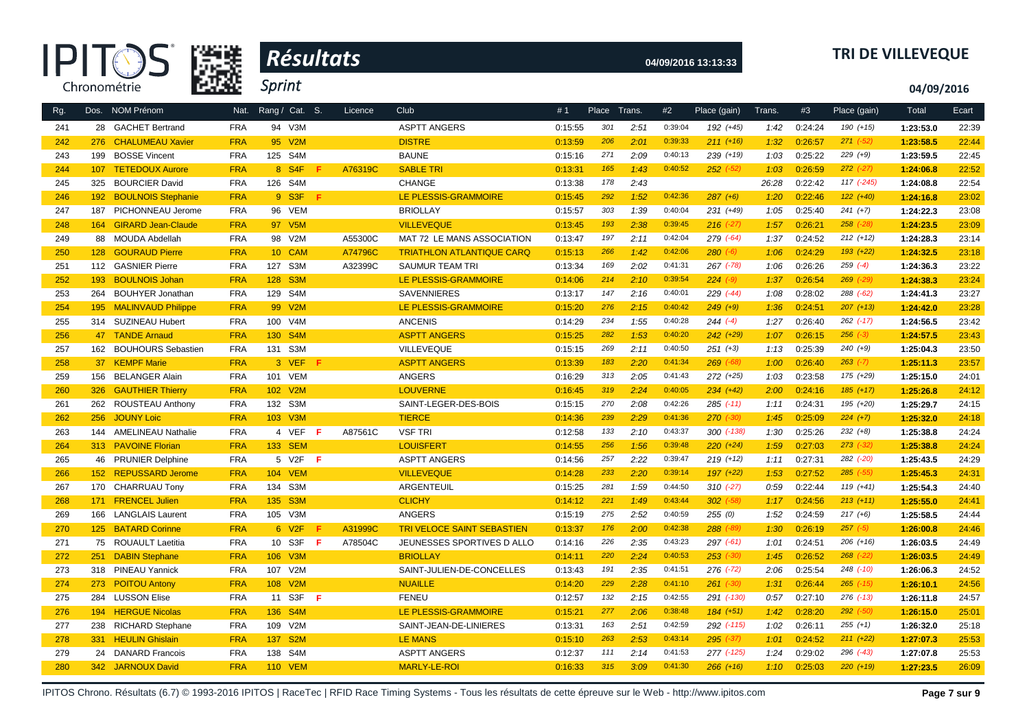

# **04/09/2016 13:13:33 TRI DE VILLEVEQUE**

**04/09/2016**

| Rg. |                  | Dos. NOM Prénom           | Nat.       | Rang / Cat. S.          |     | Licence | Club                              | #1      | Place Trans. |      | #2      | Place (gain)  | Trans. | #3      | Place (gain)  | Total     | Ecart |
|-----|------------------|---------------------------|------------|-------------------------|-----|---------|-----------------------------------|---------|--------------|------|---------|---------------|--------|---------|---------------|-----------|-------|
| 241 |                  | 28 GACHET Bertrand        | <b>FRA</b> | 94 V3M                  |     |         | <b>ASPTT ANGERS</b>               | 0:15:55 | 301          | 2:51 | 0:39:04 | 192 (+45)     | 1:42   | 0:24:24 | $190 (+15)$   | 1:23:53.0 | 22:39 |
| 242 | 276              | <b>CHALUMEAU Xavier</b>   | <b>FRA</b> | 95 V2M                  |     |         | <b>DISTRE</b>                     | 0:13:59 | 206          | 2:01 | 0:39:33 | $211 (+16)$   | 1:32   | 0:26:57 | $271 (-52)$   | 1:23:58.5 | 22:44 |
| 243 | 199              | <b>BOSSE Vincent</b>      | <b>FRA</b> | 125 S4M                 |     |         | <b>BAUNE</b>                      | 0:15:16 | 271          | 2:09 | 0:40:13 | 239 (+19)     | 1:03   | 0:25:22 | $229 (+9)$    | 1:23:59.5 | 22:45 |
| 244 | 107              | <b>TETEDOUX Aurore</b>    | <b>FRA</b> | 8 S <sub>4F</sub>       |     | A76319C | <b>SABLE TRI</b>                  | 0:13:31 | 165          | 1:43 | 0:40:52 | $252$ $(-52)$ | 1:03   | 0:26:59 | $272$ $(-27)$ | 1:24:06.8 | 22:52 |
| 245 |                  | 325 BOURCIER David        | <b>FRA</b> | 126 S4M                 |     |         | <b>CHANGE</b>                     | 0:13:38 | 178          | 2:43 |         |               | 26:28  | 0:22:42 | 117 (-245)    | 1:24:08.8 | 22:54 |
| 246 | 192 <sub>2</sub> | <b>BOULNOIS Stephanie</b> | <b>FRA</b> | 9 S3F                   | F   |         | LE PLESSIS-GRAMMOIRE              | 0:15:45 | 292          | 1:52 | 0:42:36 | $287 (+6)$    | 1:20   | 0:22:46 | $122 (+40)$   | 1:24:16.8 | 23:02 |
| 247 |                  | 187 PICHONNEAU Jerome     | <b>FRA</b> | 96 VEM                  |     |         | <b>BRIOLLAY</b>                   | 0:15:57 | 303          | 1:39 | 0:40:04 | 231 (+49)     | 1:05   | 0:25:40 | $241 (+7)$    | 1:24:22.3 | 23:08 |
| 248 |                  | 164 GIRARD Jean-Claude    | <b>FRA</b> | 97 V5M                  |     |         | <b>VILLEVEQUE</b>                 | 0:13:45 | 193          | 2:38 | 0:39:45 | $216$ $(-27)$ | 1:57   | 0:26:21 | $258$ $(-28)$ | 1:24:23.5 | 23:09 |
| 249 |                  | 88 MOUDA Abdellah         | <b>FRA</b> | 98 V2M                  |     | A55300C | MAT 72 LE MANS ASSOCIATION        | 0:13:47 | 197          | 2:11 | 0:42:04 | 279 (-64)     | 1:37   | 0:24:52 | $212 (+12)$   | 1:24:28.3 | 23:14 |
| 250 | 128              | <b>GOURAUD Pierre</b>     | <b>FRA</b> | 10 CAM                  |     | A74796C | <b>TRIATHLON ATLANTIQUE CARQ</b>  | 0:15:13 | 266          | 1:42 | 0:42:06 | $280 (-6)$    | 1:06   | 0:24:29 | 193 (+22)     | 1:24:32.5 | 23:18 |
| 251 |                  | 112 GASNIER Pierre        | <b>FRA</b> | 127 S3M                 |     | A32399C | SAUMUR TEAM TRI                   | 0:13:34 | 169          | 2:02 | 0:41:31 | $267$ $(-78)$ | 1:06   | 0:26:26 | $259$ $(-4)$  | 1:24:36.3 | 23:22 |
| 252 |                  | 193 BOULNOIS Johan        | <b>FRA</b> | 128 S3M                 |     |         | LE PLESSIS-GRAMMOIRE              | 0:14:06 | 214          | 2:10 | 0:39:54 | $224 (-9)$    | 1:37   | 0:26:54 | $269$ $(-29)$ | 1:24:38.3 | 23:24 |
| 253 | 264              | <b>BOUHYER Jonathan</b>   | <b>FRA</b> | 129 S4M                 |     |         | <b>SAVENNIERES</b>                | 0:13:17 | 147          | 2:16 | 0:40:01 | 229 (-44)     | 1:08   | 0:28:02 | $288 (-62)$   | 1:24:41.3 | 23:27 |
| 254 |                  | 195 MALINVAUD Philippe    | <b>FRA</b> | 99 V2M                  |     |         | LE PLESSIS-GRAMMOIRE              | 0:15:20 | 276          | 2:15 | 0:40:42 | $249 (+9)$    | 1:36   | 0:24:51 | $207 (+13)$   | 1:24:42.0 | 23:28 |
| 255 |                  | 314 SUZINEAU Hubert       | <b>FRA</b> | 100 V4M                 |     |         | <b>ANCENIS</b>                    | 0:14:29 | 234          | 1:55 | 0:40:28 | $244 (-4)$    | 1:27   | 0:26:40 | $262$ $(-17)$ | 1:24:56.5 | 23:42 |
| 256 |                  | 47 TANDE Arnaud           | <b>FRA</b> | 130 S4M                 |     |         | <b>ASPTT ANGERS</b>               | 0:15:25 | 282          | 1:53 | 0:40:20 | $242$ (+29)   | 1:07   | 0:26:15 | $256 (-3)$    | 1:24:57.5 | 23:43 |
| 257 |                  | 162 BOUHOURS Sebastien    | <b>FRA</b> | 131 S3M                 |     |         | <b>VILLEVEQUE</b>                 | 0:15:15 | 269          | 2:11 | 0:40:50 | $251 (+3)$    | 1:13   | 0:25:39 | $240 (+9)$    | 1:25:04.3 | 23:50 |
| 258 |                  | 37 KEMPF Marie            | <b>FRA</b> | 3 VEF                   |     |         | <b>ASPTT ANGERS</b>               | 0:13:39 | 183          | 2:20 | 0:41:34 | $269$ $(-68)$ | 1:00   | 0:26:40 | $263 (-7)$    | 1:25:11.3 | 23:57 |
| 259 | 156              | <b>BELANGER Alain</b>     | <b>FRA</b> | 101 VEM                 |     |         | <b>ANGERS</b>                     | 0:16:29 | 313          | 2:05 | 0:41:43 | 272 (+25)     | 1:03   | 0:23:58 | 175 (+29)     | 1:25:15.0 | 24:01 |
| 260 | 326              | <b>GAUTHIER Thierry</b>   | <b>FRA</b> | 102 V2M                 |     |         | <b>LOUVERNE</b>                   | 0:16:45 | 319          | 2:24 | 0:40:05 | $234 (+42)$   | 2:00   | 0:24:16 | $185 (+17)$   | 1:25:26.8 | 24:12 |
| 261 | 262              | ROUSTEAU Anthony          | <b>FRA</b> | 132 S3M                 |     |         | SAINT-LEGER-DES-BOIS              | 0:15:15 | 270          | 2:08 | 0:42:26 | $285$ (-11)   | 1:11   | 0:24:31 | 195 (+20)     | 1:25:29.7 | 24:15 |
| 262 | 256              | <b>JOUNY Loic</b>         | <b>FRA</b> | 103 V3M                 |     |         | <b>TIERCE</b>                     | 0:14:36 | 239          | 2:29 | 0:41:36 | $270$ $(-30)$ | 1:45   | 0:25:09 | $224 (+7)$    | 1:25:32.0 | 24:18 |
| 263 |                  | 144 AMELINEAU Nathalie    | <b>FRA</b> | 4 VEF                   | F   | A87561C | <b>VSF TRI</b>                    | 0:12:58 | 133          | 2:10 | 0:43:37 | 300 (-138)    | 1:30   | 0:25:26 | $232 (+8)$    | 1:25:38.8 | 24:24 |
| 264 |                  | 313 PAVOINE Florian       | <b>FRA</b> | 133 SEM                 |     |         | <b>LOUISFERT</b>                  | 0:14:55 | 256          | 1:56 | 0:39:48 | $220 (+24)$   | 1:59   | 0:27:03 | $273 (-32)$   | 1:25:38.8 | 24:24 |
| 265 |                  | 46 PRUNIER Delphine       | <b>FRA</b> | 5 V2F F                 |     |         | <b>ASPTT ANGERS</b>               | 0:14:56 | 257          | 2:22 | 0:39:47 | $219(+12)$    | 1:11   | 0:27:31 | 282 (-20)     | 1:25:43.5 | 24:29 |
| 266 |                  | 152 REPUSSARD Jerome      | <b>FRA</b> | 104 VEM                 |     |         | <b>VILLEVEQUE</b>                 | 0:14:28 | 233          | 2:20 | 0:39:14 | $197$ $(+22)$ | 1:53   | 0:27:52 | $285$ $(-55)$ | 1:25:45.3 | 24:31 |
| 267 | 170              | <b>CHARRUAU Tony</b>      | <b>FRA</b> | S3M<br>134              |     |         | ARGENTEUIL                        | 0:15:25 | 281          | 1:59 | 0:44:50 | $310(-27)$    | 0:59   | 0:22:44 | $119 (+41)$   | 1:25:54.3 | 24:40 |
| 268 | 171              | <b>FRENCEL Julien</b>     | <b>FRA</b> | 135 S3M                 |     |         | <b>CLICHY</b>                     | 0:14:12 | 221          | 1:49 | 0:43:44 | $302$ $(-58)$ | 1:17   | 0:24:56 | $213 (+11)$   | 1:25:55.0 | 24:41 |
| 269 |                  | 166 LANGLAIS Laurent      | <b>FRA</b> | 105 V3M                 |     |         | <b>ANGERS</b>                     | 0:15:19 | 275          | 2:52 | 0:40:59 | 255(0)        | 1:52   | 0:24:59 | $217 (+6)$    | 1:25:58.5 | 24:44 |
| 270 |                  | 125 BATARD Corinne        | <b>FRA</b> | 6 V <sub>2</sub> F      | Е   | A31999C | <b>TRI VELOCE SAINT SEBASTIEN</b> | 0:13:37 | 176          | 2:00 | 0:42:38 | 288 (-89)     | 1:30   | 0:26:19 | $257 (-5)$    | 1:26:00.8 | 24:46 |
| 271 |                  | 75 ROUAULT Laetitia       | <b>FRA</b> | 10 S3F                  | -F  | A78504C | JEUNESSES SPORTIVES D ALLO        | 0:14:16 | 226          | 2:35 | 0:43:23 | $297 (-61)$   | 1:01   | 0:24:51 | $206 (+16)$   | 1:26:03.5 | 24:49 |
| 272 | 251              | <b>DABIN Stephane</b>     | <b>FRA</b> | 106 V3M                 |     |         | <b>BRIOLLAY</b>                   | 0:14:11 | 220          | 2:24 | 0:40:53 | $253$ $(-30)$ | 1:45   | 0:26:52 | $268$ $(-22)$ | 1:26:03.5 | 24:49 |
| 273 |                  | 318 PINEAU Yannick        | <b>FRA</b> | 107 V2M                 |     |         | SAINT-JULIEN-DE-CONCELLES         | 0:13:43 | 191          | 2:35 | 0:41:51 | $276$ $(-72)$ | 2:06   | 0:25:54 | $248$ (-10)   | 1:26:06.3 | 24:52 |
| 274 |                  | 273 POITOU Antony         | <b>FRA</b> | 108 V2M                 |     |         | <b>NUAILLE</b>                    | 0:14:20 | 229          | 2:28 | 0:41:10 | $261$ $(-30)$ | 1:31   | 0:26:44 | $265$ $(-15)$ | 1:26:10.1 | 24:56 |
| 275 |                  | 284 LUSSON Elise          | <b>FRA</b> | 11 S3F                  | - F |         | <b>FENEU</b>                      | 0:12:57 | 132          | 2:15 | 0:42:55 | 291 (-130)    | 0:57   | 0:27:10 | $276$ $(-13)$ | 1:26:11.8 | 24:57 |
| 276 |                  | 194 HERGUE Nicolas        | <b>FRA</b> | 136<br>S <sub>4</sub> M |     |         | LE PLESSIS-GRAMMOIRE              | 0:15:21 | 277          | 2:06 | 0:38:48 | $184 (+51)$   | 1:42   | 0:28:20 | $292$ $(-50)$ | 1:26:15.0 | 25:01 |
| 277 |                  | 238 RICHARD Stephane      | <b>FRA</b> | 109 V2M                 |     |         | SAINT-JEAN-DE-LINIERES            | 0:13:31 | 163          | 2:51 | 0:42:59 | 292 (-115)    | 1:02   | 0:26:11 | $255 (+1)$    | 1:26:32.0 | 25:18 |
| 278 |                  | 331 HEULIN Ghislain       | <b>FRA</b> | 137 S2M                 |     |         | <b>LE MANS</b>                    | 0:15:10 | 263          | 2:53 | 0:43:14 | $295$ $(-37)$ | 1:01   | 0:24:52 | $211 (+22)$   | 1:27:07.3 | 25:53 |
| 279 |                  | 24 DANARD Francois        | <b>FRA</b> | 138 S4M                 |     |         | <b>ASPTT ANGERS</b>               | 0:12:37 | 111          | 2:14 | 0:41:53 | 277 (-125)    | 1:24   | 0:29:02 | $296$ $(-43)$ | 1:27:07.8 | 25:53 |
| 280 | 342              | <b>JARNOUX David</b>      | <b>FRA</b> | <b>110 VEM</b>          |     |         | <b>MARLY-LE-ROI</b>               | 0:16:33 | 315          | 3:09 | 0:41:30 | $266 (+16)$   | 1:10   | 0:25:03 | $220 (+19)$   | 1:27:23.5 | 26:09 |
|     |                  |                           |            |                         |     |         |                                   |         |              |      |         |               |        |         |               |           |       |

IPITOS Chrono. Résultats (6.7) © 1993-2016 IPITOS | RaceTec | RFID Race Timing Systems - Tous les résultats de cette épreuve sur le Web - http://www.ipitos.com **Page 7 sur 9**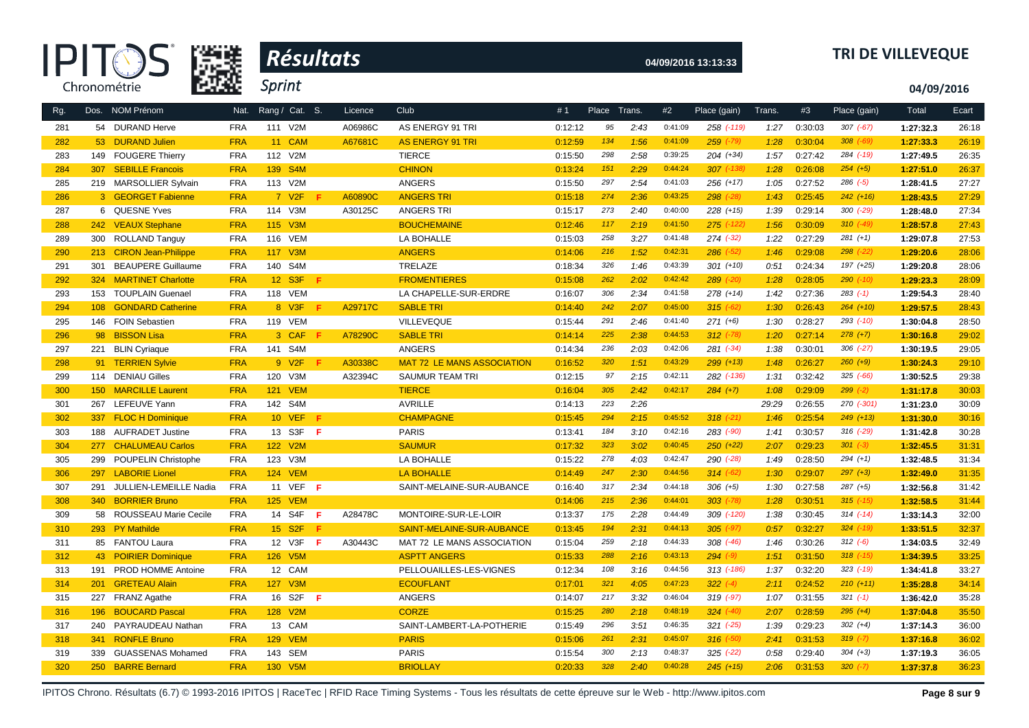| R            |
|--------------|
| Chronométrie |



# **04/09/2016 13:13:33 TRI DE VILLEVEQUE**

**04/09/2016**

| Rg. |                  | Dos. NOM Prénom            | Nat.       | Rang / Cat. S.       |     | Licence | Club                              | #1      | Place | Trans. | #2      | Place (gain)   | Trans. | #3      | Place (gain)  | Total     | Ecart |
|-----|------------------|----------------------------|------------|----------------------|-----|---------|-----------------------------------|---------|-------|--------|---------|----------------|--------|---------|---------------|-----------|-------|
| 281 |                  | 54 DURAND Herve            | <b>FRA</b> | 111 V2M              |     | A06986C | AS ENERGY 91 TRI                  | 0:12:12 | 95    | 2:43   | 0:41:09 | 258 (-119)     | 1:27   | 0:30:03 | $307 (-67)$   | 1:27:32.3 | 26:18 |
| 282 |                  | 53 DURAND Julien           | <b>FRA</b> | 11 CAM               |     | A67681C | <b>AS ENERGY 91 TRI</b>           | 0:12:59 | 134   | 1:56   | 0:41:09 | $259$ $(-79)$  | 1:28   | 0:30:04 | $308$ $(-69)$ | 1:27:33.3 | 26:19 |
| 283 | 149              | <b>FOUGERE Thierry</b>     | <b>FRA</b> | 112 V2M              |     |         | <b>TIERCE</b>                     | 0:15:50 | 298   | 2:58   | 0:39:25 | $204 (+34)$    | 1:57   | 0:27:42 | 284 (-19)     | 1:27:49.5 | 26:35 |
| 284 | 307              | <b>SEBILLE Francois</b>    | <b>FRA</b> | 139 S4M              |     |         | <b>CHINON</b>                     | 0:13:24 | 151   | 2:29   | 0:44:24 | $307$ $(-138)$ | 1:28   | 0:26:08 | $254(+5)$     | 1:27:51.0 | 26:37 |
| 285 |                  | 219 MARSOLLIER Sylvain     | <b>FRA</b> | 113 V2M              |     |         | <b>ANGERS</b>                     | 0:15:50 | 297   | 2:54   | 0:41:03 | $256 (+17)$    | 1:05   | 0:27:52 | $286$ $(-5)$  | 1:28:41.5 | 27:27 |
| 286 |                  | 3 GEORGET Fabienne         | <b>FRA</b> | 7 V <sub>2</sub> F   |     | A60890C | <b>ANGERS TRI</b>                 | 0:15:18 | 274   | 2:36   | 0:43:25 | $298$ $(-28)$  | 1:43   | 0:25:45 | $242 (+16)$   | 1:28:43.5 | 27:29 |
| 287 |                  | 6 QUESNE Yves              | <b>FRA</b> | 114 V3M              |     | A30125C | <b>ANGERS TRI</b>                 | 0:15:17 | 273   | 2:40   | 0:40:00 | $228 (+15)$    | 1:39   | 0:29:14 | $300$ $(-29)$ | 1:28:48.0 | 27:34 |
| 288 | 242              | <b>VEAUX Stephane</b>      | <b>FRA</b> | 115 V3M              |     |         | <b>BOUCHEMAINE</b>                | 0:12:46 | 117   | 2:19   | 0:41:50 | $275$ (-122)   | 1:56   | 0:30:09 | $310 (-49)$   | 1:28:57.8 | 27:43 |
| 289 |                  | 300 ROLLAND Tanguy         | <b>FRA</b> | 116 VEM              |     |         | LA BOHALLE                        | 0:15:03 | 258   | 3:27   | 0:41:48 | $274$ $(-32)$  | 1:22   | 0:27:29 | $281 (+1)$    | 1:29:07.8 | 27:53 |
| 290 | 213              | <b>CIRON Jean-Philippe</b> | <b>FRA</b> | 117 V3M              |     |         | <b>ANGERS</b>                     | 0:14:06 | 216   | 1:52   | 0:42:31 | $286$ $(-52)$  | 1:46   | 0:29:08 | $298$ $(-22)$ | 1:29:20.6 | 28:06 |
| 291 | 301              | <b>BEAUPERE Guillaume</b>  | <b>FRA</b> | 140 S4M              |     |         | TRELAZE                           | 0:18:34 | 326   | 1:46   | 0:43:39 | $301 (+10)$    | 0:51   | 0:24:34 | 197 (+25)     | 1:29:20.8 | 28:06 |
| 292 | 324              | <b>MARTINET Charlotte</b>  | <b>FRA</b> | 12 S3F               | - F |         | <b>FROMENTIERES</b>               | 0:15:08 | 262   | 2:02   | 0:42:42 | $289$ $(-20)$  | 1:28   | 0:28:05 | $290 (-10)$   | 1:29:23.3 | 28:09 |
| 293 | 153              | <b>TOUPLAIN Guenael</b>    | <b>FRA</b> | 118 VEM              |     |         | LA CHAPELLE-SUR-ERDRE             | 0:16:07 | 306   | 2:34   | 0:41:58 | 278 (+14)      | 1:42   | 0:27:36 | $283$ $(-1)$  | 1:29:54.3 | 28:40 |
| 294 | 108              | <b>GONDARD Catherine</b>   | <b>FRA</b> | 8 V3F                | Æ   | A29717C | <b>SABLE TRI</b>                  | 0:14:40 | 242   | 2:07   | 0:45:00 | $315 (-62)$    | 1:30   | 0:26:43 | $264 (+10)$   | 1:29:57.5 | 28:43 |
| 295 |                  | 146 FOIN Sebastien         | <b>FRA</b> | 119 VEM              |     |         | VILLEVEQUE                        | 0:15:44 | 291   | 2:46   | 0:41:40 | $271 (+6)$     | 1:30   | 0:28:27 | $293$ $(-10)$ | 1:30:04.8 | 28:50 |
| 296 | 98               | <b>BISSON Lisa</b>         | <b>FRA</b> | 3 CAF                | F   | A78290C | <b>SABLE TRI</b>                  | 0:14:14 | 225   | 2:38   | 0:44:53 | $312$ (-78)    | 1:20   | 0:27:14 | $278 (+7)$    | 1:30:16.8 | 29:02 |
| 297 | 221              | <b>BLIN Cyriaque</b>       | <b>FRA</b> | 141 S4M              |     |         | <b>ANGERS</b>                     | 0:14:34 | 236   | 2:03   | 0:42:06 | $281 (-34)$    | 1:38   | 0:30:01 | $306$ $(-27)$ | 1:30:19.5 | 29:05 |
| 298 | 91               | <b>TERRIEN Sylvie</b>      | <b>FRA</b> | 9 V2F                |     | A30338C | <b>MAT 72 LE MANS ASSOCIATION</b> | 0:16:52 | 320   | 1:51   | 0:43:29 | $299 (+13)$    | 1:48   | 0:26:27 | $260 (+9)$    | 1:30:24.3 | 29:10 |
| 299 | 114              | <b>DENIAU Gilles</b>       | <b>FRA</b> | 120 V3M              |     | A32394C | <b>SAUMUR TEAM TRI</b>            | 0:12:15 | 97    | 2:15   | 0:42:11 | 282 (-136)     | 1:31   | 0:32:42 | $325$ $(-66)$ | 1:30:52.5 | 29:38 |
| 300 | 150 <sub>1</sub> | <b>MARCILLE Laurent</b>    | <b>FRA</b> | <b>121 VEM</b>       |     |         | <b>TIERCE</b>                     | 0:16:04 | 305   | 2:42   | 0:42:17 | $284 (+7)$     | 1:08   | 0:29:09 | $299 (-2)$    | 1:31:17.8 | 30:03 |
| 301 | 267              | LEFEUVE Yann               | <b>FRA</b> | 142 S4M              |     |         | <b>AVRILLE</b>                    | 0:14:13 | 223   | 2:26   |         |                | 29:29  | 0:26:55 | 270 (-301)    | 1:31:23.0 | 30:09 |
| 302 | 337              | <b>FLOC H Dominique</b>    | <b>FRA</b> | <b>10 VEF</b>        | F   |         | <b>CHAMPAGNE</b>                  | 0:15:45 | 294   | 2:15   | 0:45:52 | $318 (+21)$    | 1:46   | 0:25:54 | $249 (+13)$   | 1:31:30.0 | 30:16 |
| 303 |                  | 188 AUFRADET Justine       | <b>FRA</b> | 13 S3F               | F   |         | <b>PARIS</b>                      | 0:13:41 | 184   | 3:10   | 0:42:16 | 283 (-90)      | 1:41   | 0:30:57 | 316 (-29)     | 1:31:42.8 | 30:28 |
| 304 | 277              | <b>CHALUMEAU Carlos</b>    | <b>FRA</b> | 122 V2M              |     |         | <b>SAUMUR</b>                     | 0:17:32 | 323   | 3:02   | 0:40:45 | $250 (+22)$    | 2:07   | 0:29:23 | $301 (-3)$    | 1:32:45.5 | 31:31 |
| 305 | 299              | <b>POUPELIN Christophe</b> | <b>FRA</b> | 123 V3M              |     |         | LA BOHALLE                        | 0:15:22 | 278   | 4:03   | 0:42:47 | 290 (-28)      | 1:49   | 0:28:50 | $294 (+1)$    | 1:32:48.5 | 31:34 |
| 306 |                  | 297 LABORIE Lionel         | <b>FRA</b> | <b>124 VEM</b>       |     |         | <b>LA BOHALLE</b>                 | 0:14:49 | 247   | 2:30   | 0:44:56 | $314 (-62)$    | 1:30   | 0:29:07 | $297 (+3)$    | 1:32:49.0 | 31:35 |
| 307 | 291              | JULLIEN-LEMEILLE Nadia     | <b>FRA</b> | 11 VEF               | F.  |         | SAINT-MELAINE-SUR-AUBANCE         | 0:16:40 | 317   | 2:34   | 0:44:18 | $306 (+5)$     | 1:30   | 0:27:58 | $287 (+5)$    | 1:32:56.8 | 31:42 |
| 308 | 340              | <b>BORRIER Bruno</b>       | <b>FRA</b> | <b>125 VEM</b>       |     |         |                                   | 0:14:06 | 215   | 2:36   | 0:44:01 | $303$ $(-78)$  | 1:28   | 0:30:51 | $315$ $(-15)$ | 1:32:58.5 | 31:44 |
| 309 |                  | 58 ROUSSEAU Marie Cecile   | <b>FRA</b> | 14 S4F               | F.  | A28478C | MONTOIRE-SUR-LE-LOIR              | 0:13:37 | 175   | 2:28   | 0:44:49 | 309 (-120)     | 1:38   | 0:30:45 | $314 (-14)$   | 1:33:14.3 | 32:00 |
| 310 |                  | 293 PY Mathilde            | <b>FRA</b> | 15 S2F               | F   |         | SAINT-MELAINE-SUR-AUBANCE         | 0:13:45 | 194   | 2:31   | 0:44:13 | $305$ $(-97)$  | 0:57   | 0:32:27 | $324$ $(-19)$ | 1:33:51.5 | 32:37 |
| 311 |                  | 85 FANTOU Laura            | <b>FRA</b> | 12 V3F               | -F. | A30443C | MAT 72 LE MANS ASSOCIATION        | 0:15:04 | 259   | 2:18   | 0:44:33 | $308$ $(-46)$  | 1:46   | 0:30:26 | $312 (-6)$    | 1:34:03.5 | 32:49 |
| 312 | 43               | <b>POIRIER Dominique</b>   | <b>FRA</b> | 126 V5M              |     |         | <b>ASPTT ANGERS</b>               | 0:15:33 | 288   | 2:16   | 0:43:13 | $294 (-9)$     | 1:51   | 0:31:50 | $318$ $(-15)$ | 1:34:39.5 | 33:25 |
| 313 | 191              | <b>PROD HOMME Antoine</b>  | <b>FRA</b> | 12 CAM               |     |         | PELLOUAILLES-LES-VIGNES           | 0:12:34 | 108   | 3:16   | 0:44:56 | $313$ $(-186)$ | 1:37   | 0:32:20 | $323$ $(-19)$ | 1:34:41.8 | 33:27 |
| 314 | 201              | <b>GRETEAU Alain</b>       | <b>FRA</b> | 127 V3M              |     |         | <b>ECOUFLANT</b>                  | 0:17:01 | 321   | 4:05   | 0:47:23 | $322 (-4)$     | 2:11   | 0:24:52 | $210 (+11)$   | 1:35:28.8 | 34:14 |
| 315 | 227              | <b>FRANZ Agathe</b>        | <b>FRA</b> | 16 S2F               | -F  |         | ANGERS                            | 0:14:07 | 217   | 3:32   | 0:46:04 | 319 (-97)      | 1:07   | 0:31:55 | $321 (-1)$    | 1:36:42.0 | 35:28 |
| 316 | 196              | <b>BOUCARD Pascal</b>      | <b>FRA</b> | 128 V <sub>2</sub> M |     |         | <b>CORZE</b>                      | 0:15:25 | 280   | 2:18   | 0:48:19 | $324$ $(-40)$  | 2:07   | 0:28:59 | $295 (+4)$    | 1:37:04.8 | 35:50 |
| 317 | 240              | PAYRAUDEAU Nathan          | <b>FRA</b> | 13 CAM               |     |         | SAINT-LAMBERT-LA-POTHERIE         | 0:15:49 | 296   | 3:51   | 0:46:35 | $321$ (-25)    | 1:39   | 0:29:23 | $302 (+4)$    | 1:37:14.3 | 36:00 |
| 318 | 341              | <b>RONFLE Bruno</b>        | <b>FRA</b> | <b>129 VEM</b>       |     |         | <b>PARIS</b>                      | 0:15:06 | 261   | 2:31   | 0:45:07 | $316$ $(-50)$  | 2:41   | 0:31:53 | $319 (-7)$    | 1:37:16.8 | 36:02 |
| 319 | 339              | <b>GUASSENAS Mohamed</b>   | <b>FRA</b> | 143 SEM              |     |         | <b>PARIS</b>                      | 0:15:54 | 300   | 2:13   | 0:48:37 | $325$ $(-22)$  | 0:58   | 0:29:40 | $304 (+3)$    | 1:37:19.3 | 36:05 |
| 320 | 250              | <b>BARRE Bernard</b>       | <b>FRA</b> | 130 V5M              |     |         | <b>BRIOLLAY</b>                   | 0:20:33 | 328   | 2:40   | 0:40:28 | $245 (+15)$    | 2:06   | 0:31:53 | $320 (-7)$    | 1:37:37.8 | 36:23 |

IPITOS Chrono. Résultats (6.7) © 1993-2016 IPITOS | RaceTec | RFID Race Timing Systems - Tous les résultats de cette épreuve sur le Web - http://www.ipitos.com **Page 8 sur 9**